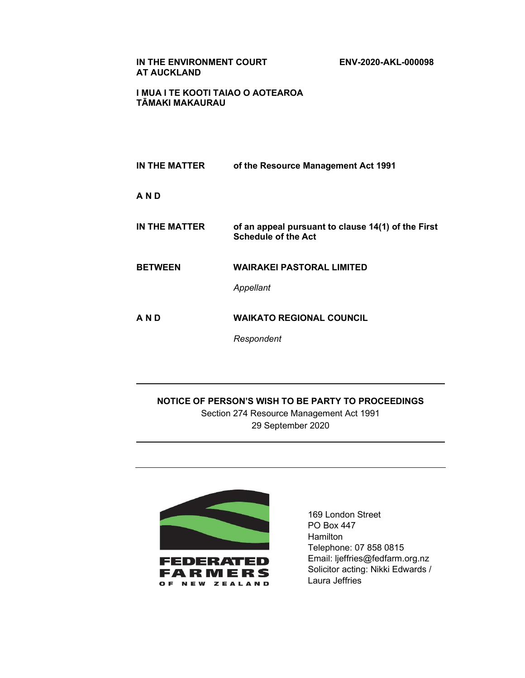IN THE ENVIRONMENT COURT ENV-2020-AKL-000098 AT AUCKLAND

I MUA I TE KOOTI TAIAO O AOTEAROA TĀMAKI MAKAURAU

IN THE MATTER of the Resource Management Act 1991 A N D IN THE MATTER of an appeal pursuant to clause 14(1) of the First Schedule of the Act BETWEEN WAIRAKEI PASTORAL LIMITED Appellant A N D WAIKATO REGIONAL COUNCIL Respondent

NOTICE OF PERSON'S WISH TO BE PARTY TO PROCEEDINGS Section 274 Resource Management Act 1991 29 September 2020



 $\overline{\phantom{a}}$ 

 $\overline{\phantom{0}}$ 

169 London Street PO Box 447 Hamilton Telephone: 07 858 0815 Email: ljeffries@fedfarm.org.nz Solicitor acting: Nikki Edwards / Laura Jeffries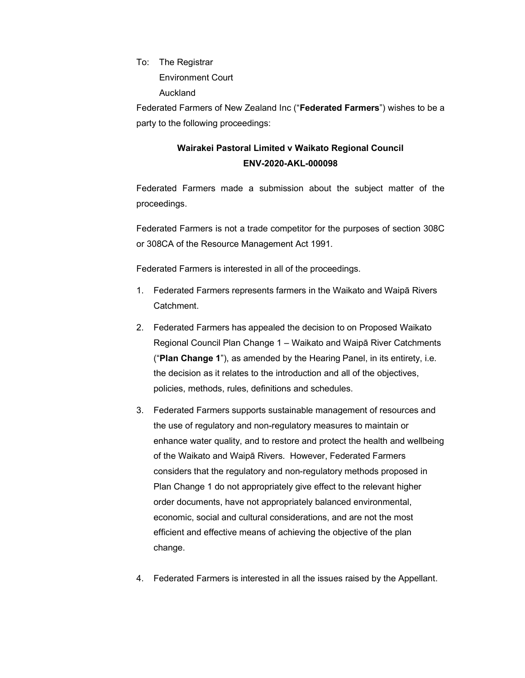To: The Registrar Environment Court Auckland

Federated Farmers of New Zealand Inc ("Federated Farmers") wishes to be a party to the following proceedings:

## Wairakei Pastoral Limited v Waikato Regional Council ENV-2020-AKL-000098

Federated Farmers made a submission about the subject matter of the proceedings.

Federated Farmers is not a trade competitor for the purposes of section 308C or 308CA of the Resource Management Act 1991.

Federated Farmers is interested in all of the proceedings.

- 1. Federated Farmers represents farmers in the Waikato and Waipā Rivers **Catchment**
- 2. Federated Farmers has appealed the decision to on Proposed Waikato Regional Council Plan Change 1 – Waikato and Waipā River Catchments ("Plan Change 1"), as amended by the Hearing Panel, in its entirety, i.e. the decision as it relates to the introduction and all of the objectives, policies, methods, rules, definitions and schedules.
- 3. Federated Farmers supports sustainable management of resources and the use of regulatory and non-regulatory measures to maintain or enhance water quality, and to restore and protect the health and wellbeing of the Waikato and Waipā Rivers. However, Federated Farmers considers that the regulatory and non-regulatory methods proposed in Plan Change 1 do not appropriately give effect to the relevant higher order documents, have not appropriately balanced environmental, economic, social and cultural considerations, and are not the most efficient and effective means of achieving the objective of the plan change.
- 4. Federated Farmers is interested in all the issues raised by the Appellant.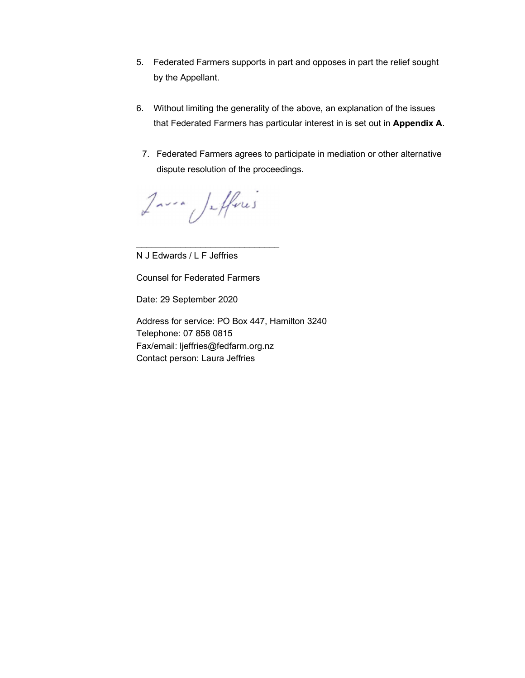- 5. Federated Farmers supports in part and opposes in part the relief sought by the Appellant.
- 6. Without limiting the generality of the above, an explanation of the issues that Federated Farmers has particular interest in is set out in Appendix A.
	- 7. Federated Farmers agrees to participate in mediation or other alternative dispute resolution of the proceedings.

Javie Jefferes

N J Edwards / L F Jeffries

Counsel for Federated Farmers

\_\_\_\_\_\_\_\_\_\_\_\_\_\_\_\_\_\_\_\_\_\_\_\_\_\_\_\_\_

Date: 29 September 2020

Address for service: PO Box 447, Hamilton 3240 Telephone: 07 858 0815 Fax/email: ljeffries@fedfarm.org.nz Contact person: Laura Jeffries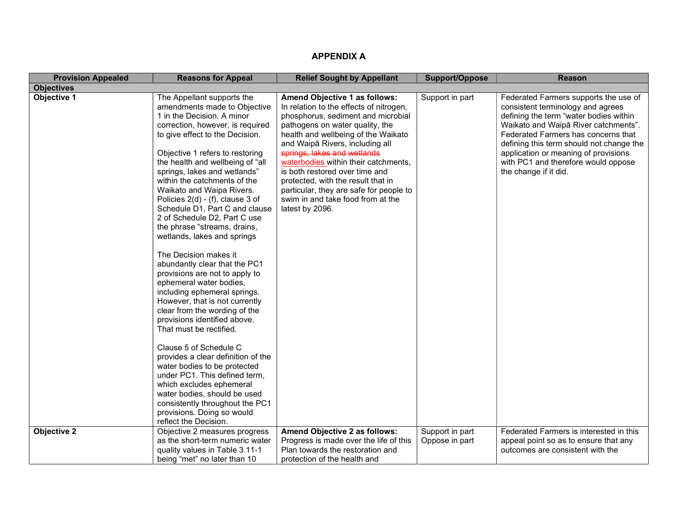| <b>Provision Appealed</b> | <b>Reasons for Appeal</b>                                                                                                                                                                                                                                                                                                                                                                                                                                                                                                                                                                                                                                                                                                                                                                                                                                                                                                                                                                                                     | <b>Relief Sought by Appellant</b>                                                                                                                                                                                                                                                                                                                                                                                                                                             | Support/Oppose                    | <b>Reason</b>                                                                                                                                                                                                                                                                                                                                           |
|---------------------------|-------------------------------------------------------------------------------------------------------------------------------------------------------------------------------------------------------------------------------------------------------------------------------------------------------------------------------------------------------------------------------------------------------------------------------------------------------------------------------------------------------------------------------------------------------------------------------------------------------------------------------------------------------------------------------------------------------------------------------------------------------------------------------------------------------------------------------------------------------------------------------------------------------------------------------------------------------------------------------------------------------------------------------|-------------------------------------------------------------------------------------------------------------------------------------------------------------------------------------------------------------------------------------------------------------------------------------------------------------------------------------------------------------------------------------------------------------------------------------------------------------------------------|-----------------------------------|---------------------------------------------------------------------------------------------------------------------------------------------------------------------------------------------------------------------------------------------------------------------------------------------------------------------------------------------------------|
| <b>Objectives</b>         |                                                                                                                                                                                                                                                                                                                                                                                                                                                                                                                                                                                                                                                                                                                                                                                                                                                                                                                                                                                                                               |                                                                                                                                                                                                                                                                                                                                                                                                                                                                               |                                   |                                                                                                                                                                                                                                                                                                                                                         |
| <b>Objective 1</b>        | The Appellant supports the<br>amendments made to Objective<br>1 in the Decision. A minor<br>correction, however, is required<br>to give effect to the Decision.<br>Objective 1 refers to restoring<br>the health and wellbeing of "all<br>springs, lakes and wetlands"<br>within the catchments of the<br>Waikato and Waipa Rivers.<br>Policies 2(d) - (f), clause 3 of<br>Schedule D1, Part C and clause<br>2 of Schedule D2, Part C use<br>the phrase "streams, drains,<br>wetlands, lakes and springs<br>The Decision makes it<br>abundantly clear that the PC1<br>provisions are not to apply to<br>ephemeral water bodies,<br>including ephemeral springs.<br>However, that is not currently<br>clear from the wording of the<br>provisions identified above.<br>That must be rectified.<br>Clause 5 of Schedule C<br>provides a clear definition of the<br>water bodies to be protected<br>under PC1. This defined term,<br>which excludes ephemeral<br>water bodies, should be used<br>consistently throughout the PC1 | Amend Objective 1 as follows:<br>In relation to the effects of nitrogen,<br>phosphorus, sediment and microbial<br>pathogens on water quality, the<br>health and wellbeing of the Waikato<br>and Waipā Rivers, including all<br>springs, lakes and wetlands<br>waterbodies within their catchments,<br>is both restored over time and<br>protected, with the result that in<br>particular, they are safe for people to<br>swim in and take food from at the<br>latest by 2096. | Support in part                   | Federated Farmers supports the use of<br>consistent terminology and agrees<br>defining the term "water bodies within<br>Waikato and Waipā River catchments".<br>Federated Farmers has concerns that<br>defining this term should not change the<br>application or meaning of provisions<br>with PC1 and therefore would oppose<br>the change if it did. |
|                           |                                                                                                                                                                                                                                                                                                                                                                                                                                                                                                                                                                                                                                                                                                                                                                                                                                                                                                                                                                                                                               |                                                                                                                                                                                                                                                                                                                                                                                                                                                                               |                                   |                                                                                                                                                                                                                                                                                                                                                         |
|                           |                                                                                                                                                                                                                                                                                                                                                                                                                                                                                                                                                                                                                                                                                                                                                                                                                                                                                                                                                                                                                               |                                                                                                                                                                                                                                                                                                                                                                                                                                                                               |                                   |                                                                                                                                                                                                                                                                                                                                                         |
|                           |                                                                                                                                                                                                                                                                                                                                                                                                                                                                                                                                                                                                                                                                                                                                                                                                                                                                                                                                                                                                                               |                                                                                                                                                                                                                                                                                                                                                                                                                                                                               |                                   |                                                                                                                                                                                                                                                                                                                                                         |
|                           |                                                                                                                                                                                                                                                                                                                                                                                                                                                                                                                                                                                                                                                                                                                                                                                                                                                                                                                                                                                                                               |                                                                                                                                                                                                                                                                                                                                                                                                                                                                               |                                   |                                                                                                                                                                                                                                                                                                                                                         |
| <b>Objective 2</b>        | provisions. Doing so would<br>reflect the Decision.<br>Objective 2 measures progress<br>as the short-term numeric water<br>quality values in Table 3.11-1<br>being "met" no later than 10                                                                                                                                                                                                                                                                                                                                                                                                                                                                                                                                                                                                                                                                                                                                                                                                                                     | Amend Objective 2 as follows:<br>Progress is made over the life of this<br>Plan towards the restoration and<br>protection of the health and                                                                                                                                                                                                                                                                                                                                   | Support in part<br>Oppose in part | Federated Farmers is interested in this<br>appeal point so as to ensure that any<br>outcomes are consistent with the                                                                                                                                                                                                                                    |

## APPENDIX A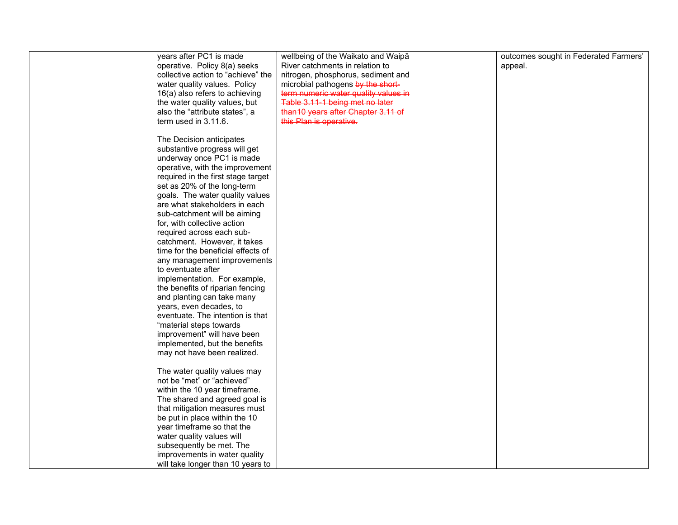| years after PC1 is made            | wellbeing of the Waikato and Waipā   | outcomes sought in Federated Farmers' |
|------------------------------------|--------------------------------------|---------------------------------------|
| operative. Policy 8(a) seeks       | River catchments in relation to      | appeal.                               |
| collective action to "achieve" the | nitrogen, phosphorus, sediment and   |                                       |
| water quality values. Policy       | microbial pathogens by the short-    |                                       |
| 16(a) also refers to achieving     | term numeric water quality values in |                                       |
| the water quality values, but      | Table 3.11-1 being met no later      |                                       |
|                                    |                                      |                                       |
| also the "attribute states", a     | than 10 years after Chapter 3.11 of  |                                       |
| term used in 3.11.6.               | this Plan is operative.              |                                       |
|                                    |                                      |                                       |
| The Decision anticipates           |                                      |                                       |
| substantive progress will get      |                                      |                                       |
| underway once PC1 is made          |                                      |                                       |
| operative, with the improvement    |                                      |                                       |
| required in the first stage target |                                      |                                       |
| set as 20% of the long-term        |                                      |                                       |
| goals. The water quality values    |                                      |                                       |
| are what stakeholders in each      |                                      |                                       |
| sub-catchment will be aiming       |                                      |                                       |
| for, with collective action        |                                      |                                       |
| required across each sub-          |                                      |                                       |
|                                    |                                      |                                       |
| catchment. However, it takes       |                                      |                                       |
| time for the beneficial effects of |                                      |                                       |
| any management improvements        |                                      |                                       |
| to eventuate after                 |                                      |                                       |
| implementation. For example,       |                                      |                                       |
| the benefits of riparian fencing   |                                      |                                       |
| and planting can take many         |                                      |                                       |
| years, even decades, to            |                                      |                                       |
| eventuate. The intention is that   |                                      |                                       |
| "material steps towards            |                                      |                                       |
| improvement" will have been        |                                      |                                       |
| implemented, but the benefits      |                                      |                                       |
| may not have been realized.        |                                      |                                       |
|                                    |                                      |                                       |
| The water quality values may       |                                      |                                       |
| not be "met" or "achieved"         |                                      |                                       |
|                                    |                                      |                                       |
| within the 10 year timeframe.      |                                      |                                       |
| The shared and agreed goal is      |                                      |                                       |
| that mitigation measures must      |                                      |                                       |
| be put in place within the 10      |                                      |                                       |
| year timeframe so that the         |                                      |                                       |
| water quality values will          |                                      |                                       |
| subsequently be met. The           |                                      |                                       |
| improvements in water quality      |                                      |                                       |
| will take longer than 10 years to  |                                      |                                       |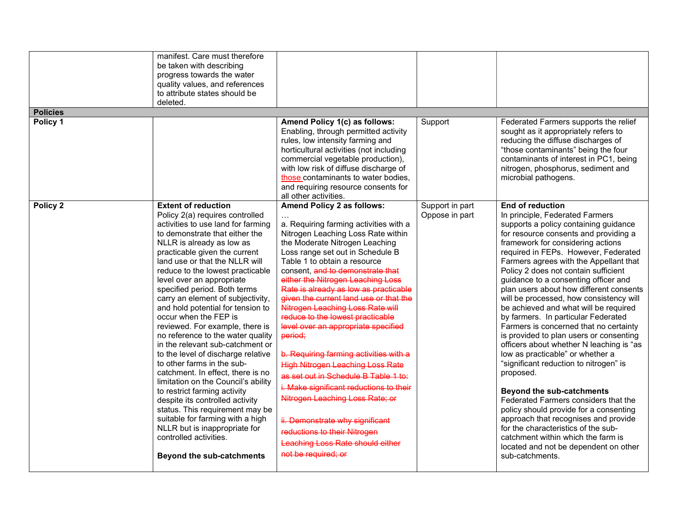| <b>Policies</b> | manifest. Care must therefore<br>be taken with describing<br>progress towards the water<br>quality values, and references<br>to attribute states should be<br>deleted.                                                                                                                                                                                                                                                                                                                                                                                                                                                                                                                                                                                                                                                                                                                                                                         |                                                                                                                                                                                                                                                                                                                                                                                                                                                                                                                                                                                                                                                                                                                                                                                                                                                 |                                   |                                                                                                                                                                                                                                                                                                                                                                                                                                                                                                                                                                                                                                                                                                                                                                                                                                                                                                                                                                                                                                                              |
|-----------------|------------------------------------------------------------------------------------------------------------------------------------------------------------------------------------------------------------------------------------------------------------------------------------------------------------------------------------------------------------------------------------------------------------------------------------------------------------------------------------------------------------------------------------------------------------------------------------------------------------------------------------------------------------------------------------------------------------------------------------------------------------------------------------------------------------------------------------------------------------------------------------------------------------------------------------------------|-------------------------------------------------------------------------------------------------------------------------------------------------------------------------------------------------------------------------------------------------------------------------------------------------------------------------------------------------------------------------------------------------------------------------------------------------------------------------------------------------------------------------------------------------------------------------------------------------------------------------------------------------------------------------------------------------------------------------------------------------------------------------------------------------------------------------------------------------|-----------------------------------|--------------------------------------------------------------------------------------------------------------------------------------------------------------------------------------------------------------------------------------------------------------------------------------------------------------------------------------------------------------------------------------------------------------------------------------------------------------------------------------------------------------------------------------------------------------------------------------------------------------------------------------------------------------------------------------------------------------------------------------------------------------------------------------------------------------------------------------------------------------------------------------------------------------------------------------------------------------------------------------------------------------------------------------------------------------|
| Policy 1        |                                                                                                                                                                                                                                                                                                                                                                                                                                                                                                                                                                                                                                                                                                                                                                                                                                                                                                                                                |                                                                                                                                                                                                                                                                                                                                                                                                                                                                                                                                                                                                                                                                                                                                                                                                                                                 |                                   |                                                                                                                                                                                                                                                                                                                                                                                                                                                                                                                                                                                                                                                                                                                                                                                                                                                                                                                                                                                                                                                              |
|                 |                                                                                                                                                                                                                                                                                                                                                                                                                                                                                                                                                                                                                                                                                                                                                                                                                                                                                                                                                | Amend Policy 1(c) as follows:<br>Enabling, through permitted activity<br>rules, low intensity farming and<br>horticultural activities (not including<br>commercial vegetable production),<br>with low risk of diffuse discharge of<br>those contaminants to water bodies,<br>and requiring resource consents for<br>all other activities.                                                                                                                                                                                                                                                                                                                                                                                                                                                                                                       | Support                           | Federated Farmers supports the relief<br>sought as it appropriately refers to<br>reducing the diffuse discharges of<br>"those contaminants" being the four<br>contaminants of interest in PC1, being<br>nitrogen, phosphorus, sediment and<br>microbial pathogens.                                                                                                                                                                                                                                                                                                                                                                                                                                                                                                                                                                                                                                                                                                                                                                                           |
| Policy 2        | <b>Extent of reduction</b><br>Policy 2(a) requires controlled<br>activities to use land for farming<br>to demonstrate that either the<br>NLLR is already as low as<br>practicable given the current<br>land use or that the NLLR will<br>reduce to the lowest practicable<br>level over an appropriate<br>specified period. Both terms<br>carry an element of subjectivity,<br>and hold potential for tension to<br>occur when the FEP is<br>reviewed. For example, there is<br>no reference to the water quality<br>in the relevant sub-catchment or<br>to the level of discharge relative<br>to other farms in the sub-<br>catchment. In effect, there is no<br>limitation on the Council's ability<br>to restrict farming activity<br>despite its controlled activity<br>status. This requirement may be<br>suitable for farming with a high<br>NLLR but is inappropriate for<br>controlled activities.<br><b>Beyond the sub-catchments</b> | Amend Policy 2 as follows:<br>a. Requiring farming activities with a<br>Nitrogen Leaching Loss Rate within<br>the Moderate Nitrogen Leaching<br>Loss range set out in Schedule B<br>Table 1 to obtain a resource<br>consent, and to demonstrate that<br>either the Nitrogen Leaching Loss<br>Rate is already as low as practicable<br>given the current land use or that the<br>Nitrogen Leaching Loss Rate will<br>reduce to the lowest practicable<br>level over an appropriate specified<br>period;<br>b. Requiring farming activities with a<br><b>High Nitrogen Leaching Loss Rate</b><br>as set out in Schedule B Table 1 to:<br>i. Make significant reductions to their<br>Nitrogen Leaching Loss Rate; or<br>ii. Demonstrate why significant<br>reductions to their Nitrogen<br>Leaching Loss Rate should either<br>not be required; or | Support in part<br>Oppose in part | <b>End of reduction</b><br>In principle, Federated Farmers<br>supports a policy containing guidance<br>for resource consents and providing a<br>framework for considering actions<br>required in FEPs. However, Federated<br>Farmers agrees with the Appellant that<br>Policy 2 does not contain sufficient<br>guidance to a consenting officer and<br>plan users about how different consents<br>will be processed, how consistency will<br>be achieved and what will be required<br>by farmers. In particular Federated<br>Farmers is concerned that no certainty<br>is provided to plan users or consenting<br>officers about whether N leaching is "as<br>low as practicable" or whether a<br>"significant reduction to nitrogen" is<br>proposed.<br><b>Beyond the sub-catchments</b><br>Federated Farmers considers that the<br>policy should provide for a consenting<br>approach that recognises and provide<br>for the characteristics of the sub-<br>catchment within which the farm is<br>located and not be dependent on other<br>sub-catchments. |
|                 |                                                                                                                                                                                                                                                                                                                                                                                                                                                                                                                                                                                                                                                                                                                                                                                                                                                                                                                                                |                                                                                                                                                                                                                                                                                                                                                                                                                                                                                                                                                                                                                                                                                                                                                                                                                                                 |                                   |                                                                                                                                                                                                                                                                                                                                                                                                                                                                                                                                                                                                                                                                                                                                                                                                                                                                                                                                                                                                                                                              |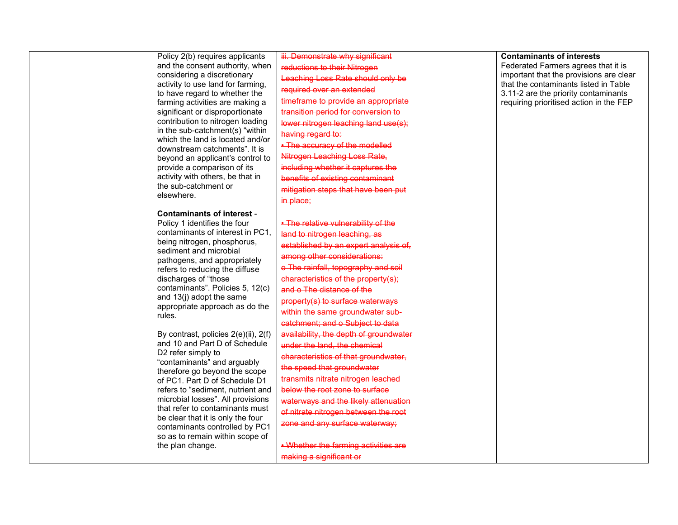| Policy 2(b) requires applicants<br>and the consent authority, when<br>considering a discretionary<br>activity to use land for farming,<br>to have regard to whether the<br>farming activities are making a<br>significant or disproportionate<br>contribution to nitrogen loading                                                                                                                                                       | iii. Demonstrate why significant<br>reductions to their Nitrogen<br>Leaching Loss Rate should only be<br>required over an extended<br>timeframe to provide an appropriate<br>transition period for conversion to<br>lower nitrogen leaching land use(s);                                                                                                                                                  | <b>Contaminants of interests</b><br>Federated Farmers agrees that it is<br>important that the provisions are clear<br>that the contaminants listed in Table<br>3.11-2 are the priority contaminants<br>requiring prioritised action in the FEP |
|-----------------------------------------------------------------------------------------------------------------------------------------------------------------------------------------------------------------------------------------------------------------------------------------------------------------------------------------------------------------------------------------------------------------------------------------|-----------------------------------------------------------------------------------------------------------------------------------------------------------------------------------------------------------------------------------------------------------------------------------------------------------------------------------------------------------------------------------------------------------|------------------------------------------------------------------------------------------------------------------------------------------------------------------------------------------------------------------------------------------------|
| in the sub-catchment(s) "within<br>which the land is located and/or<br>downstream catchments". It is<br>beyond an applicant's control to<br>provide a comparison of its<br>activity with others, be that in<br>the sub-catchment or<br>elsewhere.                                                                                                                                                                                       | having regard to:<br>. The accuracy of the modelled<br>Nitrogen Leaching Loss Rate,<br>including whether it captures the<br>benefits of existing contaminant<br>mitigation steps that have been put<br>in place;                                                                                                                                                                                          |                                                                                                                                                                                                                                                |
| <b>Contaminants of interest -</b><br>Policy 1 identifies the four<br>contaminants of interest in PC1,<br>being nitrogen, phosphorus,<br>sediment and microbial<br>pathogens, and appropriately<br>refers to reducing the diffuse<br>discharges of "those<br>contaminants". Policies 5, 12(c)<br>and 13(j) adopt the same<br>appropriate approach as do the<br>rules.                                                                    | . The relative vulnerability of the<br>land to nitrogen leaching, as<br>established by an expert analysis of,<br>among other considerations:<br>o The rainfall, topography and soil<br>characteristics of the property(s);<br>and o The distance of the<br>property(s) to surface waterways<br>within the same groundwater sub-<br>catchment; and o Subject to data                                       |                                                                                                                                                                                                                                                |
| By contrast, policies 2(e)(ii), 2(f)<br>and 10 and Part D of Schedule<br>D2 refer simply to<br>"contaminants" and arguably<br>therefore go beyond the scope<br>of PC1. Part D of Schedule D1<br>refers to "sediment, nutrient and<br>microbial losses". All provisions<br>that refer to contaminants must<br>be clear that it is only the four<br>contaminants controlled by PC1<br>so as to remain within scope of<br>the plan change. | availability, the depth of groundwater<br>under the land, the chemical<br>characteristics of that groundwater,<br>the speed that groundwater<br>transmits nitrate nitrogen leached<br>below the root zone to surface<br>waterways and the likely attenuation<br>of nitrate nitrogen between the root<br>zone and any surface waterway;<br>. Whether the farming activities are<br>making a significant or |                                                                                                                                                                                                                                                |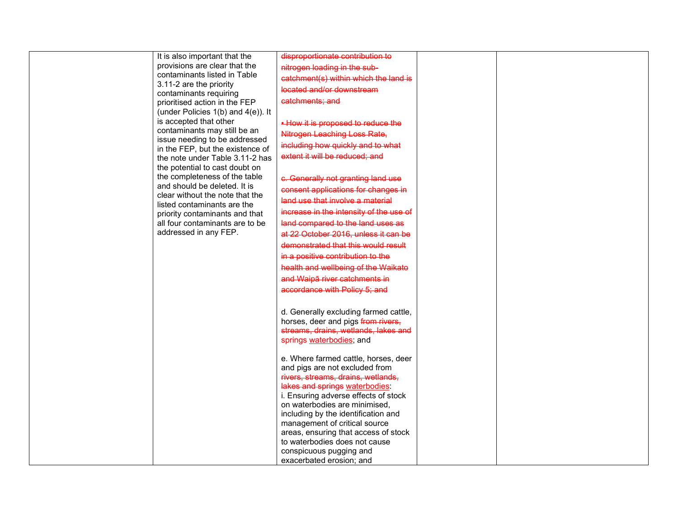| It is also important that the                                     | disproportionate contribution to                                     |
|-------------------------------------------------------------------|----------------------------------------------------------------------|
| provisions are clear that the                                     | nitrogen loading in the sub-                                         |
| contaminants listed in Table                                      |                                                                      |
| 3.11-2 are the priority                                           | catchment(s) within which the land is                                |
| contaminants requiring                                            | located and/or downstream                                            |
| prioritised action in the FEP                                     | catchments: and                                                      |
| (under Policies $1(b)$ and $4(e)$ ). It                           |                                                                      |
| is accepted that other                                            | . How it is proposed to reduce the                                   |
| contaminants may still be an                                      | Nitrogen Leaching Loss Rate,                                         |
| issue needing to be addressed<br>in the FEP, but the existence of | including how quickly and to what                                    |
| the note under Table 3.11-2 has                                   | extent it will be reduced; and                                       |
| the potential to cast doubt on                                    |                                                                      |
| the completeness of the table                                     | c. Generally not granting land use                                   |
| and should be deleted. It is                                      |                                                                      |
| clear without the note that the                                   | consent applications for changes in                                  |
| listed contaminants are the                                       | land use that involve a material                                     |
| priority contaminants and that                                    | increase in the intensity of the use of                              |
| all four contaminants are to be                                   | land compared to the land uses as                                    |
| addressed in any FEP.                                             | at 22 October 2016, unless it can be                                 |
|                                                                   | demonstrated that this would result                                  |
|                                                                   | in a positive contribution to the                                    |
|                                                                   | health and wellbeing of the Waikato                                  |
|                                                                   | and Waipā river catchments in                                        |
|                                                                   | accordance with Policy 5; and                                        |
|                                                                   |                                                                      |
|                                                                   | d. Generally excluding farmed cattle,                                |
|                                                                   | horses, deer and pigs from rivers,                                   |
|                                                                   | streams, drains, wetlands, lakes and                                 |
|                                                                   | springs waterbodies; and                                             |
|                                                                   |                                                                      |
|                                                                   | e. Where farmed cattle, horses, deer                                 |
|                                                                   | and pigs are not excluded from                                       |
|                                                                   | rivers, streams, drains, wetlands,                                   |
|                                                                   | lakes and springs waterbodies.                                       |
|                                                                   | i. Ensuring adverse effects of stock                                 |
|                                                                   | on waterbodies are minimised,<br>including by the identification and |
|                                                                   | management of critical source                                        |
|                                                                   | areas, ensuring that access of stock                                 |
|                                                                   | to waterbodies does not cause                                        |
|                                                                   | conspicuous pugging and                                              |
|                                                                   | exacerbated erosion; and                                             |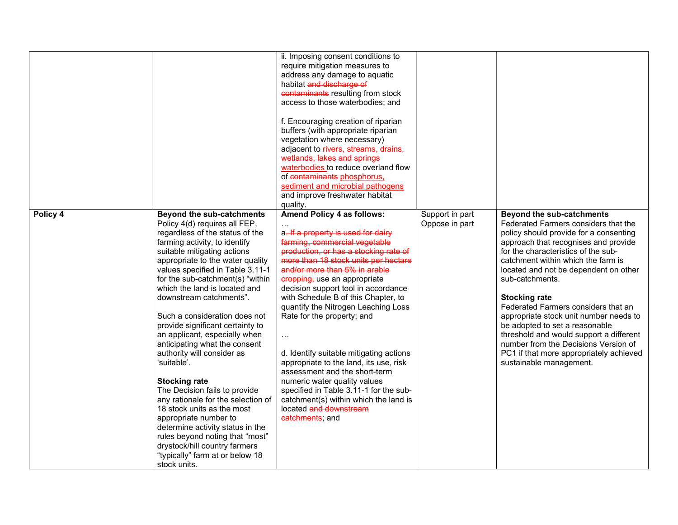|          |                                                                                                                                                                                                                                                                                                                                                                                                                                                                                                                                                                                                                                                                                                                                                                                                                                                   | ii. Imposing consent conditions to<br>require mitigation measures to<br>address any damage to aquatic<br>habitat and discharge of<br>contaminants resulting from stock<br>access to those waterbodies; and<br>f. Encouraging creation of riparian<br>buffers (with appropriate riparian<br>vegetation where necessary)<br>adjacent to rivers, streams, drains,<br>wetlands, lakes and springs<br>waterbodies to reduce overland flow<br>of contaminants phosphorus,<br>sediment and microbial pathogens<br>and improve freshwater habitat<br>quality.                                                                                                                                                    |                                   |                                                                                                                                                                                                                                                                                                                                                                                                                                                                                                                                                                                                         |
|----------|---------------------------------------------------------------------------------------------------------------------------------------------------------------------------------------------------------------------------------------------------------------------------------------------------------------------------------------------------------------------------------------------------------------------------------------------------------------------------------------------------------------------------------------------------------------------------------------------------------------------------------------------------------------------------------------------------------------------------------------------------------------------------------------------------------------------------------------------------|----------------------------------------------------------------------------------------------------------------------------------------------------------------------------------------------------------------------------------------------------------------------------------------------------------------------------------------------------------------------------------------------------------------------------------------------------------------------------------------------------------------------------------------------------------------------------------------------------------------------------------------------------------------------------------------------------------|-----------------------------------|---------------------------------------------------------------------------------------------------------------------------------------------------------------------------------------------------------------------------------------------------------------------------------------------------------------------------------------------------------------------------------------------------------------------------------------------------------------------------------------------------------------------------------------------------------------------------------------------------------|
| Policy 4 | <b>Beyond the sub-catchments</b><br>Policy 4(d) requires all FEP,<br>regardless of the status of the<br>farming activity, to identify<br>suitable mitigating actions<br>appropriate to the water quality<br>values specified in Table 3.11-1<br>for the sub-catchment(s) "within<br>which the land is located and<br>downstream catchments".<br>Such a consideration does not<br>provide significant certainty to<br>an applicant, especially when<br>anticipating what the consent<br>authority will consider as<br>'suitable'.<br><b>Stocking rate</b><br>The Decision fails to provide<br>any rationale for the selection of<br>18 stock units as the most<br>appropriate number to<br>determine activity status in the<br>rules beyond noting that "most"<br>drystock/hill country farmers<br>"typically" farm at or below 18<br>stock units. | Amend Policy 4 as follows:<br>a. If a property is used for dairy<br>farming, commercial vegetable<br>production, or has a stocking rate of<br>more than 18 stock units per hectare<br>and/or more than 5% in arable<br>eropping, use an appropriate<br>decision support tool in accordance<br>with Schedule B of this Chapter, to<br>quantify the Nitrogen Leaching Loss<br>Rate for the property; and<br>$\ldots$<br>d. Identify suitable mitigating actions<br>appropriate to the land, its use, risk<br>assessment and the short-term<br>numeric water quality values<br>specified in Table 3.11-1 for the sub-<br>catchment(s) within which the land is<br>located and downstream<br>catchments; and | Support in part<br>Oppose in part | <b>Beyond the sub-catchments</b><br>Federated Farmers considers that the<br>policy should provide for a consenting<br>approach that recognises and provide<br>for the characteristics of the sub-<br>catchment within which the farm is<br>located and not be dependent on other<br>sub-catchments.<br><b>Stocking rate</b><br>Federated Farmers considers that an<br>appropriate stock unit number needs to<br>be adopted to set a reasonable<br>threshold and would support a different<br>number from the Decisions Version of<br>PC1 if that more appropriately achieved<br>sustainable management. |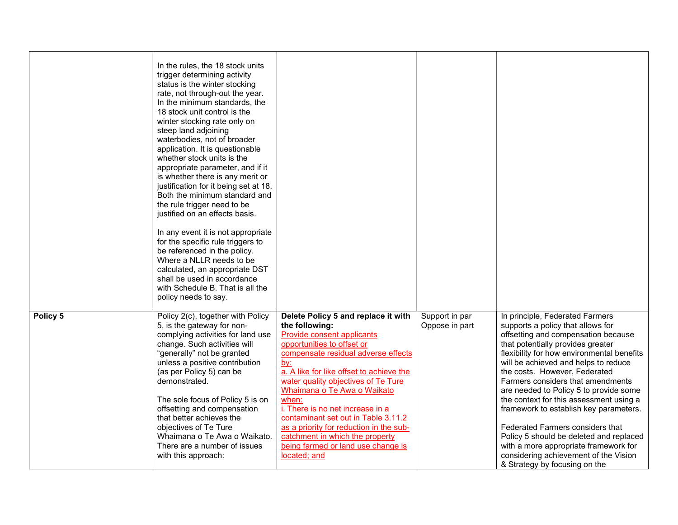|          | In the rules, the 18 stock units<br>trigger determining activity<br>status is the winter stocking<br>rate, not through-out the year.<br>In the minimum standards, the<br>18 stock unit control is the<br>winter stocking rate only on<br>steep land adjoining<br>waterbodies, not of broader<br>application. It is questionable<br>whether stock units is the<br>appropriate parameter, and if it<br>is whether there is any merit or<br>justification for it being set at 18.<br>Both the minimum standard and<br>the rule trigger need to be<br>justified on an effects basis.<br>In any event it is not appropriate<br>for the specific rule triggers to<br>be referenced in the policy.<br>Where a NLLR needs to be<br>calculated, an appropriate DST<br>shall be used in accordance<br>with Schedule B. That is all the<br>policy needs to say. |                                                                                                                                                                                                                                                                                                                                                                                                                                                                                                                         |                                  |                                                                                                                                                                                                                                                                                                                                                                                                                                                                                                                                                                                                                                               |
|----------|------------------------------------------------------------------------------------------------------------------------------------------------------------------------------------------------------------------------------------------------------------------------------------------------------------------------------------------------------------------------------------------------------------------------------------------------------------------------------------------------------------------------------------------------------------------------------------------------------------------------------------------------------------------------------------------------------------------------------------------------------------------------------------------------------------------------------------------------------|-------------------------------------------------------------------------------------------------------------------------------------------------------------------------------------------------------------------------------------------------------------------------------------------------------------------------------------------------------------------------------------------------------------------------------------------------------------------------------------------------------------------------|----------------------------------|-----------------------------------------------------------------------------------------------------------------------------------------------------------------------------------------------------------------------------------------------------------------------------------------------------------------------------------------------------------------------------------------------------------------------------------------------------------------------------------------------------------------------------------------------------------------------------------------------------------------------------------------------|
| Policy 5 | Policy 2(c), together with Policy<br>5, is the gateway for non-<br>complying activities for land use<br>change. Such activities will<br>"generally" not be granted<br>unless a positive contribution<br>(as per Policy 5) can be<br>demonstrated.<br>The sole focus of Policy 5 is on<br>offsetting and compensation<br>that better achieves the<br>objectives of Te Ture<br>Whaimana o Te Awa o Waikato.<br>There are a number of issues<br>with this approach:                                                                                                                                                                                                                                                                                                                                                                                     | Delete Policy 5 and replace it with<br>the following:<br><b>Provide consent applicants</b><br>opportunities to offset or<br>compensate residual adverse effects<br><u>by:</u><br>a. A like for like offset to achieve the<br>water quality objectives of Te Ture<br>Whaimana o Te Awa o Waikato<br>when:<br>i. There is no net increase in a<br>contaminant set out in Table 3.11.2<br>as a priority for reduction in the sub-<br>catchment in which the property<br>being farmed or land use change is<br>located; and | Support in par<br>Oppose in part | In principle, Federated Farmers<br>supports a policy that allows for<br>offsetting and compensation because<br>that potentially provides greater<br>flexibility for how environmental benefits<br>will be achieved and helps to reduce<br>the costs. However, Federated<br>Farmers considers that amendments<br>are needed to Policy 5 to provide some<br>the context for this assessment using a<br>framework to establish key parameters.<br>Federated Farmers considers that<br>Policy 5 should be deleted and replaced<br>with a more appropriate framework for<br>considering achievement of the Vision<br>& Strategy by focusing on the |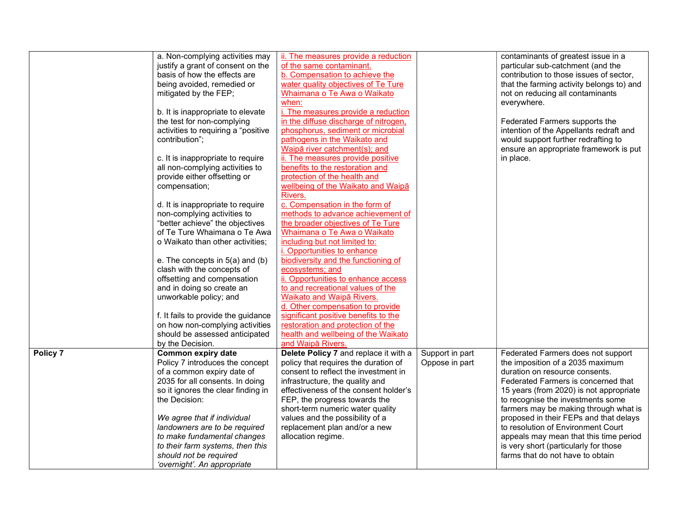|          | a. Non-complying activities may     | ii. The measures provide a reduction  |                 | contaminants of greatest issue in a       |
|----------|-------------------------------------|---------------------------------------|-----------------|-------------------------------------------|
|          | justify a grant of consent on the   | of the same contaminant.              |                 | particular sub-catchment (and the         |
|          | basis of how the effects are        | b. Compensation to achieve the        |                 | contribution to those issues of sector,   |
|          | being avoided, remedied or          | water quality objectives of Te Ture   |                 | that the farming activity belongs to) and |
|          | mitigated by the FEP;               | Whaimana o Te Awa o Waikato           |                 | not on reducing all contaminants          |
|          |                                     | when:                                 |                 | everywhere.                               |
|          | b. It is inappropriate to elevate   | i. The measures provide a reduction   |                 |                                           |
|          | the test for non-complying          | in the diffuse discharge of nitrogen, |                 | Federated Farmers supports the            |
|          |                                     |                                       |                 |                                           |
|          | activities to requiring a "positive | phosphorus, sediment or microbial     |                 | intention of the Appellants redraft and   |
|          | contribution":                      | pathogens in the Waikato and          |                 | would support further redrafting to       |
|          |                                     | Waipā river catchment(s); and         |                 | ensure an appropriate framework is put    |
|          | c. It is inappropriate to require   | ii. The measures provide positive     |                 | in place.                                 |
|          | all non-complying activities to     | benefits to the restoration and       |                 |                                           |
|          | provide either offsetting or        | protection of the health and          |                 |                                           |
|          | compensation;                       | wellbeing of the Waikato and Waipa    |                 |                                           |
|          |                                     | Rivers.                               |                 |                                           |
|          | d. It is inappropriate to require   | c. Compensation in the form of        |                 |                                           |
|          | non-complying activities to         | methods to advance achievement of     |                 |                                           |
|          | "better achieve" the objectives     | the broader objectives of Te Ture     |                 |                                           |
|          | of Te Ture Whaimana o Te Awa        | Whaimana o Te Awa o Waikato           |                 |                                           |
|          | o Waikato than other activities;    | including but not limited to:         |                 |                                           |
|          |                                     | i. Opportunities to enhance           |                 |                                           |
|          | e. The concepts in 5(a) and (b)     | biodiversity and the functioning of   |                 |                                           |
|          |                                     |                                       |                 |                                           |
|          | clash with the concepts of          | ecosystems; and                       |                 |                                           |
|          | offsetting and compensation         | ii. Opportunities to enhance access   |                 |                                           |
|          | and in doing so create an           | to and recreational values of the     |                 |                                           |
|          | unworkable policy; and              | Waikato and Waipā Rivers.             |                 |                                           |
|          |                                     | d. Other compensation to provide      |                 |                                           |
|          | f. It fails to provide the guidance | significant positive benefits to the  |                 |                                           |
|          | on how non-complying activities     | restoration and protection of the     |                 |                                           |
|          | should be assessed anticipated      | health and wellbeing of the Waikato   |                 |                                           |
|          | by the Decision.                    | and Waipa Rivers.                     |                 |                                           |
| Policy 7 | Common expiry date                  | Delete Policy 7 and replace it with a | Support in part | Federated Farmers does not support        |
|          | Policy 7 introduces the concept     | policy that requires the duration of  | Oppose in part  | the imposition of a 2035 maximum          |
|          | of a common expiry date of          | consent to reflect the investment in  |                 | duration on resource consents.            |
|          | 2035 for all consents. In doing     | infrastructure, the quality and       |                 | Federated Farmers is concerned that       |
|          | so it ignores the clear finding in  | effectiveness of the consent holder's |                 | 15 years (from 2020) is not appropriate   |
|          | the Decision:                       | FEP, the progress towards the         |                 | to recognise the investments some         |
|          |                                     |                                       |                 |                                           |
|          |                                     | short-term numeric water quality      |                 | farmers may be making through what is     |
|          | We agree that if individual         | values and the possibility of a       |                 | proposed in their FEPs and that delays    |
|          | landowners are to be required       | replacement plan and/or a new         |                 | to resolution of Environment Court        |
|          | to make fundamental changes         | allocation regime.                    |                 | appeals may mean that this time period    |
|          | to their farm systems, then this    |                                       |                 | is very short (particularly for those     |
|          | should not be required              |                                       |                 | farms that do not have to obtain          |
|          | 'overnight'. An appropriate         |                                       |                 |                                           |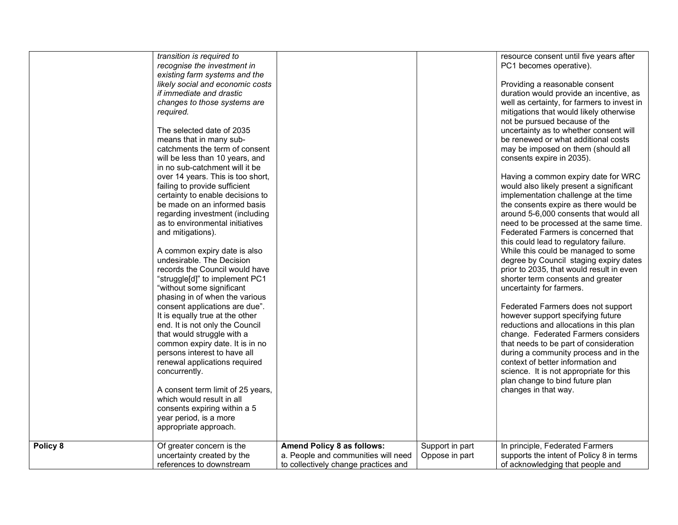|          | transition is required to<br>recognise the investment in<br>existing farm systems and the<br>likely social and economic costs<br>if immediate and drastic<br>changes to those systems are<br>required.<br>The selected date of 2035<br>means that in many sub-<br>catchments the term of consent<br>will be less than 10 years, and<br>in no sub-catchment will it be<br>over 14 years. This is too short,<br>failing to provide sufficient<br>certainty to enable decisions to<br>be made on an informed basis<br>regarding investment (including<br>as to environmental initiatives<br>and mitigations).<br>A common expiry date is also<br>undesirable. The Decision<br>records the Council would have<br>"struggle[d]" to implement PC1<br>"without some significant<br>phasing in of when the various<br>consent applications are due".<br>It is equally true at the other<br>end. It is not only the Council<br>that would struggle with a<br>common expiry date. It is in no<br>persons interest to have all<br>renewal applications required<br>concurrently.<br>A consent term limit of 25 years,<br>which would result in all<br>consents expiring within a 5<br>year period, is a more<br>appropriate approach. |                                                                                                           |                                   | resource consent until five years after<br>PC1 becomes operative).<br>Providing a reasonable consent<br>duration would provide an incentive, as<br>well as certainty, for farmers to invest in<br>mitigations that would likely otherwise<br>not be pursued because of the<br>uncertainty as to whether consent will<br>be renewed or what additional costs<br>may be imposed on them (should all<br>consents expire in 2035).<br>Having a common expiry date for WRC<br>would also likely present a significant<br>implementation challenge at the time<br>the consents expire as there would be<br>around 5-6,000 consents that would all<br>need to be processed at the same time.<br>Federated Farmers is concerned that<br>this could lead to regulatory failure.<br>While this could be managed to some<br>degree by Council staging expiry dates<br>prior to 2035, that would result in even<br>shorter term consents and greater<br>uncertainty for farmers.<br>Federated Farmers does not support<br>however support specifying future<br>reductions and allocations in this plan<br>change. Federated Farmers considers<br>that needs to be part of consideration<br>during a community process and in the<br>context of better information and<br>science. It is not appropriate for this<br>plan change to bind future plan<br>changes in that way. |
|----------|----------------------------------------------------------------------------------------------------------------------------------------------------------------------------------------------------------------------------------------------------------------------------------------------------------------------------------------------------------------------------------------------------------------------------------------------------------------------------------------------------------------------------------------------------------------------------------------------------------------------------------------------------------------------------------------------------------------------------------------------------------------------------------------------------------------------------------------------------------------------------------------------------------------------------------------------------------------------------------------------------------------------------------------------------------------------------------------------------------------------------------------------------------------------------------------------------------------------------|-----------------------------------------------------------------------------------------------------------|-----------------------------------|-----------------------------------------------------------------------------------------------------------------------------------------------------------------------------------------------------------------------------------------------------------------------------------------------------------------------------------------------------------------------------------------------------------------------------------------------------------------------------------------------------------------------------------------------------------------------------------------------------------------------------------------------------------------------------------------------------------------------------------------------------------------------------------------------------------------------------------------------------------------------------------------------------------------------------------------------------------------------------------------------------------------------------------------------------------------------------------------------------------------------------------------------------------------------------------------------------------------------------------------------------------------------------------------------------------------------------------------------------------------|
| Policy 8 | Of greater concern is the<br>uncertainty created by the<br>references to downstream                                                                                                                                                                                                                                                                                                                                                                                                                                                                                                                                                                                                                                                                                                                                                                                                                                                                                                                                                                                                                                                                                                                                        | Amend Policy 8 as follows:<br>a. People and communities will need<br>to collectively change practices and | Support in part<br>Oppose in part | In principle, Federated Farmers<br>supports the intent of Policy 8 in terms<br>of acknowledging that people and                                                                                                                                                                                                                                                                                                                                                                                                                                                                                                                                                                                                                                                                                                                                                                                                                                                                                                                                                                                                                                                                                                                                                                                                                                                 |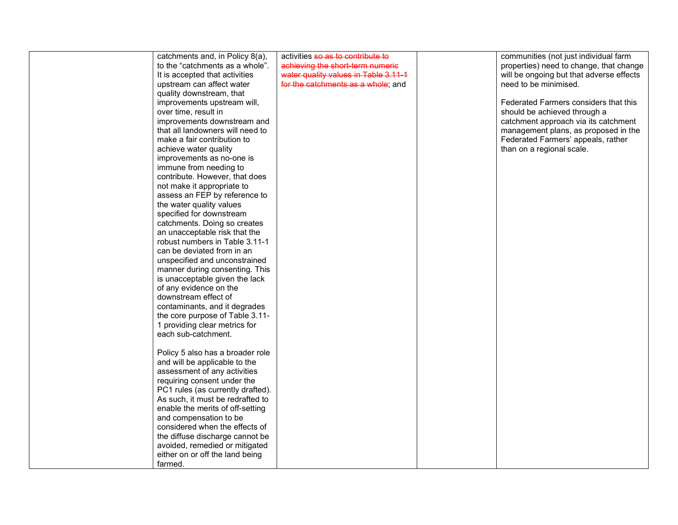| catchments and, in Policy 8(a),   | activities so as to contribute to    | communities (not just individual farm    |
|-----------------------------------|--------------------------------------|------------------------------------------|
| to the "catchments as a whole".   | achieving the short-term numeric     | properties) need to change, that change  |
| It is accepted that activities    | water quality values in Table 3.11-1 | will be ongoing but that adverse effects |
| upstream can affect water         | for the catchments as a whole; and   | need to be minimised.                    |
| quality downstream, that          |                                      |                                          |
| improvements upstream will,       |                                      | Federated Farmers considers that this    |
| over time, result in              |                                      | should be achieved through a             |
| improvements downstream and       |                                      | catchment approach via its catchment     |
| that all landowners will need to  |                                      | management plans, as proposed in the     |
| make a fair contribution to       |                                      | Federated Farmers' appeals, rather       |
| achieve water quality             |                                      | than on a regional scale.                |
| improvements as no-one is         |                                      |                                          |
| immune from needing to            |                                      |                                          |
| contribute. However, that does    |                                      |                                          |
| not make it appropriate to        |                                      |                                          |
| assess an FEP by reference to     |                                      |                                          |
| the water quality values          |                                      |                                          |
| specified for downstream          |                                      |                                          |
| catchments. Doing so creates      |                                      |                                          |
| an unacceptable risk that the     |                                      |                                          |
| robust numbers in Table 3.11-1    |                                      |                                          |
| can be deviated from in an        |                                      |                                          |
| unspecified and unconstrained     |                                      |                                          |
| manner during consenting. This    |                                      |                                          |
| is unacceptable given the lack    |                                      |                                          |
| of any evidence on the            |                                      |                                          |
| downstream effect of              |                                      |                                          |
| contaminants, and it degrades     |                                      |                                          |
| the core purpose of Table 3.11-   |                                      |                                          |
| 1 providing clear metrics for     |                                      |                                          |
| each sub-catchment.               |                                      |                                          |
|                                   |                                      |                                          |
| Policy 5 also has a broader role  |                                      |                                          |
| and will be applicable to the     |                                      |                                          |
| assessment of any activities      |                                      |                                          |
| requiring consent under the       |                                      |                                          |
| PC1 rules (as currently drafted). |                                      |                                          |
| As such, it must be redrafted to  |                                      |                                          |
| enable the merits of off-setting  |                                      |                                          |
| and compensation to be            |                                      |                                          |
| considered when the effects of    |                                      |                                          |
| the diffuse discharge cannot be   |                                      |                                          |
| avoided, remedied or mitigated    |                                      |                                          |
| either on or off the land being   |                                      |                                          |
| farmed.                           |                                      |                                          |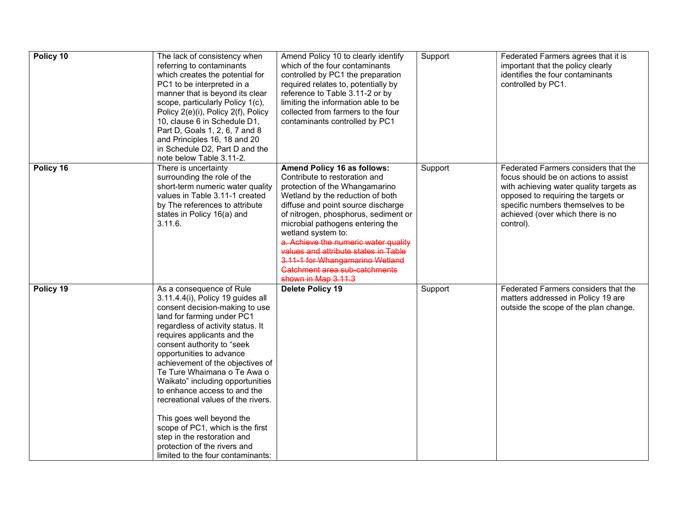| Policy 10 | The lack of consistency when<br>referring to contaminants<br>which creates the potential for<br>PC1 to be interpreted in a<br>manner that is beyond its clear<br>scope, particularly Policy 1(c),<br>Policy 2(e)(i), Policy 2(f), Policy<br>10, clause 6 in Schedule D1,<br>Part D, Goals 1, 2, 6, 7 and 8<br>and Principles 16, 18 and 20<br>in Schedule D2, Part D and the<br>note below Table 3.11-2.                                                                                                                                                                                                      | Amend Policy 10 to clearly identify<br>which of the four contaminants<br>controlled by PC1 the preparation<br>required relates to, potentially by<br>reference to Table 3.11-2 or by<br>limiting the information able to be<br>collected from farmers to the four<br>contaminants controlled by PC1                                                                                                                                                   | Support | Federated Farmers agrees that it is<br>important that the policy clearly<br>identifies the four contaminants<br>controlled by PC1.                                                                                                                   |
|-----------|---------------------------------------------------------------------------------------------------------------------------------------------------------------------------------------------------------------------------------------------------------------------------------------------------------------------------------------------------------------------------------------------------------------------------------------------------------------------------------------------------------------------------------------------------------------------------------------------------------------|-------------------------------------------------------------------------------------------------------------------------------------------------------------------------------------------------------------------------------------------------------------------------------------------------------------------------------------------------------------------------------------------------------------------------------------------------------|---------|------------------------------------------------------------------------------------------------------------------------------------------------------------------------------------------------------------------------------------------------------|
| Policy 16 | There is uncertainty<br>surrounding the role of the<br>short-term numeric water quality<br>values in Table 3.11-1 created<br>by The references to attribute<br>states in Policy 16(a) and<br>3.11.6.                                                                                                                                                                                                                                                                                                                                                                                                          | Amend Policy 16 as follows:<br>Contribute to restoration and<br>protection of the Whangamarino<br>Wetland by the reduction of both<br>diffuse and point source discharge<br>of nitrogen, phosphorus, sediment or<br>microbial pathogens entering the<br>wetland system to:<br>a. Achieve the numeric water quality<br>values and attribute states in Table<br>3.11-1 for Whangamarino Wetland<br>Catchment area sub-catchments<br>shown in Map 3.11.3 | Support | Federated Farmers considers that the<br>focus should be on actions to assist<br>with achieving water quality targets as<br>opposed to requiring the targets or<br>specific numbers themselves to be<br>achieved (over which there is no<br>control). |
| Policy 19 | As a consequence of Rule<br>3.11.4.4(i), Policy 19 guides all<br>consent decision-making to use<br>land for farming under PC1<br>regardless of activity status. It<br>requires applicants and the<br>consent authority to "seek<br>opportunities to advance<br>achievement of the objectives of<br>Te Ture Whaimana o Te Awa o<br>Waikato" including opportunities<br>to enhance access to and the<br>recreational values of the rivers.<br>This goes well beyond the<br>scope of PC1, which is the first<br>step in the restoration and<br>protection of the rivers and<br>limited to the four contaminants: | <b>Delete Policy 19</b>                                                                                                                                                                                                                                                                                                                                                                                                                               | Support | Federated Farmers considers that the<br>matters addressed in Policy 19 are<br>outside the scope of the plan change.                                                                                                                                  |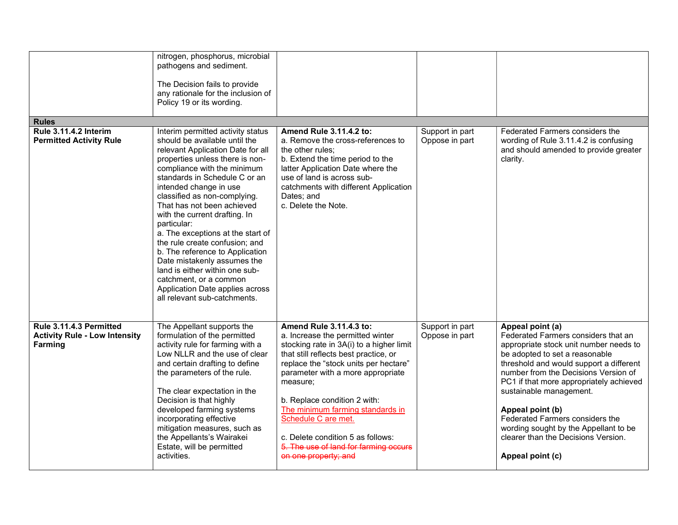|                                                                            | nitrogen, phosphorus, microbial<br>pathogens and sediment.<br>The Decision fails to provide<br>any rationale for the inclusion of<br>Policy 19 or its wording.                                                                                                                                                                                                                                                                                                                                                                                                                        |                                                                                                                                                                                                                                                                                                                                                                                                                                             |                                   |                                                                                                                                                                                                                                                                                                                                                                                                                                                         |
|----------------------------------------------------------------------------|---------------------------------------------------------------------------------------------------------------------------------------------------------------------------------------------------------------------------------------------------------------------------------------------------------------------------------------------------------------------------------------------------------------------------------------------------------------------------------------------------------------------------------------------------------------------------------------|---------------------------------------------------------------------------------------------------------------------------------------------------------------------------------------------------------------------------------------------------------------------------------------------------------------------------------------------------------------------------------------------------------------------------------------------|-----------------------------------|---------------------------------------------------------------------------------------------------------------------------------------------------------------------------------------------------------------------------------------------------------------------------------------------------------------------------------------------------------------------------------------------------------------------------------------------------------|
| <b>Rules</b><br>Rule 3.11.4.2 Interim                                      | Interim permitted activity status                                                                                                                                                                                                                                                                                                                                                                                                                                                                                                                                                     | Amend Rule 3.11.4.2 to:                                                                                                                                                                                                                                                                                                                                                                                                                     | Support in part                   | Federated Farmers considers the                                                                                                                                                                                                                                                                                                                                                                                                                         |
| <b>Permitted Activity Rule</b>                                             | should be available until the<br>relevant Application Date for all<br>properties unless there is non-<br>compliance with the minimum<br>standards in Schedule C or an<br>intended change in use<br>classified as non-complying.<br>That has not been achieved<br>with the current drafting. In<br>particular:<br>a. The exceptions at the start of<br>the rule create confusion; and<br>b. The reference to Application<br>Date mistakenly assumes the<br>land is either within one sub-<br>catchment, or a common<br>Application Date applies across<br>all relevant sub-catchments. | a. Remove the cross-references to<br>the other rules:<br>b. Extend the time period to the<br>latter Application Date where the<br>use of land is across sub-<br>catchments with different Application<br>Dates; and<br>c. Delete the Note.                                                                                                                                                                                                  | Oppose in part                    | wording of Rule 3.11.4.2 is confusing<br>and should amended to provide greater<br>clarity.                                                                                                                                                                                                                                                                                                                                                              |
| Rule 3.11.4.3 Permitted<br><b>Activity Rule - Low Intensity</b><br>Farming | The Appellant supports the<br>formulation of the permitted<br>activity rule for farming with a<br>Low NLLR and the use of clear<br>and certain drafting to define<br>the parameters of the rule.<br>The clear expectation in the<br>Decision is that highly<br>developed farming systems<br>incorporating effective<br>mitigation measures, such as<br>the Appellants's Wairakei<br>Estate, will be permitted<br>activities.                                                                                                                                                          | Amend Rule 3.11.4.3 to:<br>a. Increase the permitted winter<br>stocking rate in 3A(i) to a higher limit<br>that still reflects best practice, or<br>replace the "stock units per hectare"<br>parameter with a more appropriate<br>measure;<br>b. Replace condition 2 with:<br>The minimum farming standards in<br>Schedule C are met.<br>c. Delete condition 5 as follows:<br>5. The use of land for farming occurs<br>on one property; and | Support in part<br>Oppose in part | Appeal point (a)<br>Federated Farmers considers that an<br>appropriate stock unit number needs to<br>be adopted to set a reasonable<br>threshold and would support a different<br>number from the Decisions Version of<br>PC1 if that more appropriately achieved<br>sustainable management.<br>Appeal point (b)<br>Federated Farmers considers the<br>wording sought by the Appellant to be<br>clearer than the Decisions Version.<br>Appeal point (c) |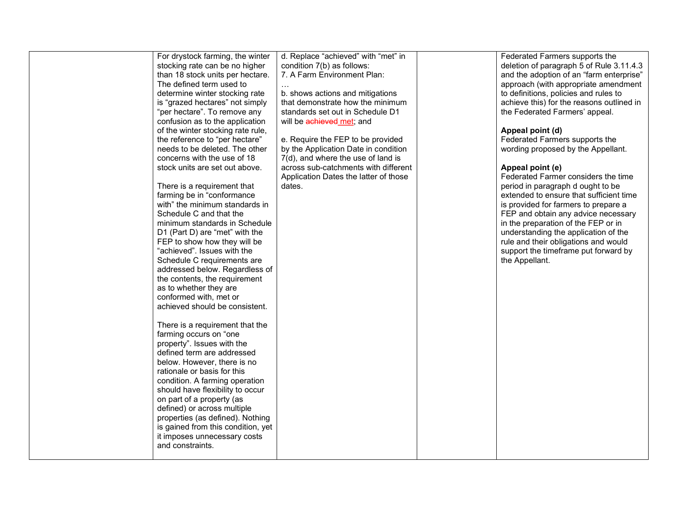| For drystock farming, the winter   | d. Replace "achieved" with "met" in   | Federated Farmers supports the            |
|------------------------------------|---------------------------------------|-------------------------------------------|
| stocking rate can be no higher     | condition 7(b) as follows:            | deletion of paragraph 5 of Rule 3.11.4.3  |
| than 18 stock units per hectare.   | 7. A Farm Environment Plan:           | and the adoption of an "farm enterprise"  |
| The defined term used to           |                                       | approach (with appropriate amendment      |
| determine winter stocking rate     | b. shows actions and mitigations      | to definitions, policies and rules to     |
| is "grazed hectares" not simply    | that demonstrate how the minimum      | achieve this) for the reasons outlined in |
| "per hectare". To remove any       | standards set out in Schedule D1      | the Federated Farmers' appeal.            |
| confusion as to the application    | will be achieved met; and             |                                           |
| of the winter stocking rate rule,  |                                       | Appeal point (d)                          |
| the reference to "per hectare"     | e. Require the FEP to be provided     | Federated Farmers supports the            |
| needs to be deleted. The other     | by the Application Date in condition  | wording proposed by the Appellant.        |
| concerns with the use of 18        | 7(d), and where the use of land is    |                                           |
| stock units are set out above.     | across sub-catchments with different  | Appeal point (e)                          |
|                                    | Application Dates the latter of those | Federated Farmer considers the time       |
| There is a requirement that        | dates.                                | period in paragraph d ought to be         |
| farming be in "conformance         |                                       | extended to ensure that sufficient time   |
| with" the minimum standards in     |                                       | is provided for farmers to prepare a      |
| Schedule C and that the            |                                       | FEP and obtain any advice necessary       |
| minimum standards in Schedule      |                                       | in the preparation of the FEP or in       |
| D1 (Part D) are "met" with the     |                                       | understanding the application of the      |
| FEP to show how they will be       |                                       | rule and their obligations and would      |
| "achieved". Issues with the        |                                       | support the timeframe put forward by      |
| Schedule C requirements are        |                                       | the Appellant.                            |
| addressed below. Regardless of     |                                       |                                           |
| the contents, the requirement      |                                       |                                           |
| as to whether they are             |                                       |                                           |
| conformed with, met or             |                                       |                                           |
| achieved should be consistent.     |                                       |                                           |
|                                    |                                       |                                           |
| There is a requirement that the    |                                       |                                           |
| farming occurs on "one             |                                       |                                           |
| property". Issues with the         |                                       |                                           |
| defined term are addressed         |                                       |                                           |
| below. However, there is no        |                                       |                                           |
| rationale or basis for this        |                                       |                                           |
| condition. A farming operation     |                                       |                                           |
| should have flexibility to occur   |                                       |                                           |
| on part of a property (as          |                                       |                                           |
| defined) or across multiple        |                                       |                                           |
| properties (as defined). Nothing   |                                       |                                           |
| is gained from this condition, yet |                                       |                                           |
| it imposes unnecessary costs       |                                       |                                           |
| and constraints.                   |                                       |                                           |
|                                    |                                       |                                           |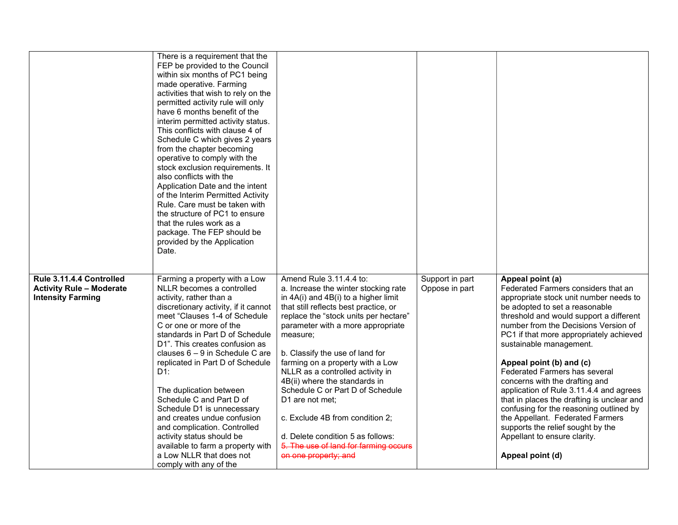|                                                                                         | There is a requirement that the<br>FEP be provided to the Council<br>within six months of PC1 being<br>made operative. Farming<br>activities that wish to rely on the<br>permitted activity rule will only<br>have 6 months benefit of the<br>interim permitted activity status.<br>This conflicts with clause 4 of<br>Schedule C which gives 2 years<br>from the chapter becoming<br>operative to comply with the<br>stock exclusion requirements. It<br>also conflicts with the<br>Application Date and the intent<br>of the Interim Permitted Activity<br>Rule. Care must be taken with<br>the structure of PC1 to ensure<br>that the rules work as a<br>package. The FEP should be |                                                                                                                                                                                                                                                                                                                                                                                                                                                                                                                                                                                            |                                   |                                                                                                                                                                                                                                                                                                                                                                                                                                                                                                                                                                                                                                                              |
|-----------------------------------------------------------------------------------------|----------------------------------------------------------------------------------------------------------------------------------------------------------------------------------------------------------------------------------------------------------------------------------------------------------------------------------------------------------------------------------------------------------------------------------------------------------------------------------------------------------------------------------------------------------------------------------------------------------------------------------------------------------------------------------------|--------------------------------------------------------------------------------------------------------------------------------------------------------------------------------------------------------------------------------------------------------------------------------------------------------------------------------------------------------------------------------------------------------------------------------------------------------------------------------------------------------------------------------------------------------------------------------------------|-----------------------------------|--------------------------------------------------------------------------------------------------------------------------------------------------------------------------------------------------------------------------------------------------------------------------------------------------------------------------------------------------------------------------------------------------------------------------------------------------------------------------------------------------------------------------------------------------------------------------------------------------------------------------------------------------------------|
|                                                                                         | provided by the Application<br>Date.                                                                                                                                                                                                                                                                                                                                                                                                                                                                                                                                                                                                                                                   |                                                                                                                                                                                                                                                                                                                                                                                                                                                                                                                                                                                            |                                   |                                                                                                                                                                                                                                                                                                                                                                                                                                                                                                                                                                                                                                                              |
| Rule 3.11.4.4 Controlled<br><b>Activity Rule - Moderate</b><br><b>Intensity Farming</b> | Farming a property with a Low<br>NLLR becomes a controlled<br>activity, rather than a<br>discretionary activity, if it cannot<br>meet "Clauses 1-4 of Schedule<br>C or one or more of the<br>standards in Part D of Schedule<br>D1". This creates confusion as<br>clauses $6 - 9$ in Schedule C are<br>replicated in Part D of Schedule<br>D1:<br>The duplication between<br>Schedule C and Part D of<br>Schedule D1 is unnecessary<br>and creates undue confusion<br>and complication. Controlled<br>activity status should be<br>available to farm a property with<br>a Low NLLR that does not<br>comply with any of the                                                             | Amend Rule 3.11.4.4 to:<br>a. Increase the winter stocking rate<br>in $4A(i)$ and $4B(i)$ to a higher limit<br>that still reflects best practice, or<br>replace the "stock units per hectare"<br>parameter with a more appropriate<br>measure;<br>b. Classify the use of land for<br>farming on a property with a Low<br>NLLR as a controlled activity in<br>4B(ii) where the standards in<br>Schedule C or Part D of Schedule<br>D1 are not met:<br>c. Exclude 4B from condition 2;<br>d. Delete condition 5 as follows:<br>5. The use of land for farming occurs<br>on one property; and | Support in part<br>Oppose in part | Appeal point (a)<br>Federated Farmers considers that an<br>appropriate stock unit number needs to<br>be adopted to set a reasonable<br>threshold and would support a different<br>number from the Decisions Version of<br>PC1 if that more appropriately achieved<br>sustainable management.<br>Appeal point (b) and (c)<br>Federated Farmers has several<br>concerns with the drafting and<br>application of Rule 3.11.4.4 and agrees<br>that in places the drafting is unclear and<br>confusing for the reasoning outlined by<br>the Appellant. Federated Farmers<br>supports the relief sought by the<br>Appellant to ensure clarity.<br>Appeal point (d) |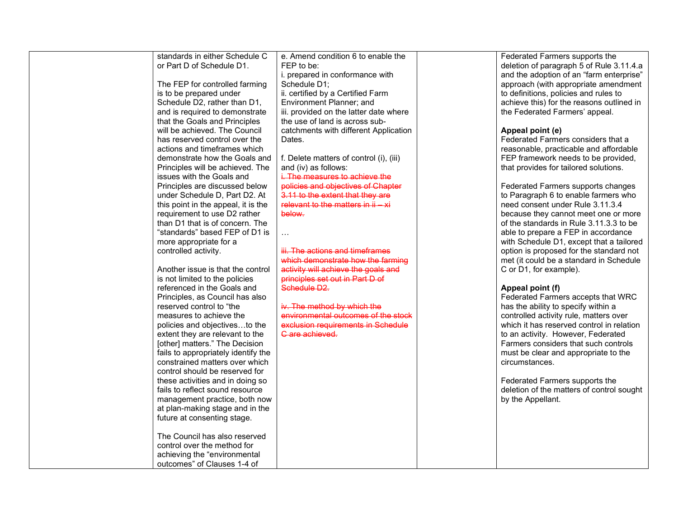| standards in either Schedule C      | e. Amend condition 6 to enable the      | Federated Farmers supports the            |
|-------------------------------------|-----------------------------------------|-------------------------------------------|
| or Part D of Schedule D1.           | FEP to be:                              | deletion of paragraph 5 of Rule 3.11.4.a  |
|                                     | i. prepared in conformance with         | and the adoption of an "farm enterprise"  |
| The FEP for controlled farming      | Schedule D1;                            | approach (with appropriate amendment      |
| is to be prepared under             | ii. certified by a Certified Farm       | to definitions, policies and rules to     |
| Schedule D2, rather than D1,        | Environment Planner; and                | achieve this) for the reasons outlined in |
| and is required to demonstrate      | iii. provided on the latter date where  | the Federated Farmers' appeal.            |
| that the Goals and Principles       | the use of land is across sub-          |                                           |
| will be achieved. The Council       | catchments with different Application   | Appeal point (e)                          |
| has reserved control over the       | Dates.                                  | Federated Farmers considers that a        |
| actions and timeframes which        |                                         | reasonable, practicable and affordable    |
| demonstrate how the Goals and       | f. Delete matters of control (i), (iii) | FEP framework needs to be provided,       |
| Principles will be achieved. The    | and (iv) as follows:                    | that provides for tailored solutions.     |
| issues with the Goals and           | i. The measures to achieve the          |                                           |
| Principles are discussed below      | policies and objectives of Chapter      | Federated Farmers supports changes        |
| under Schedule D, Part D2. At       | 3.11 to the extent that they are        | to Paragraph 6 to enable farmers who      |
| this point in the appeal, it is the | relevant to the matters in $ii - xi$    | need consent under Rule 3.11.3.4          |
| requirement to use D2 rather        | below.                                  | because they cannot meet one or more      |
| than D1 that is of concern. The     |                                         | of the standards in Rule 3.11.3.3 to be   |
| "standards" based FEP of D1 is      |                                         | able to prepare a FEP in accordance       |
| more appropriate for a              |                                         | with Schedule D1, except that a tailored  |
| controlled activity.                | iii. The actions and timeframes         | option is proposed for the standard not   |
|                                     | which demonstrate how the farming       | met (it could be a standard in Schedule   |
| Another issue is that the control   | activity will achieve the goals and     | C or D1, for example).                    |
| is not limited to the policies      | principles set out in Part D of         |                                           |
| referenced in the Goals and         | Schedule D <sub>2</sub> .               | Appeal point (f)                          |
| Principles, as Council has also     |                                         | Federated Farmers accepts that WRC        |
| reserved control to "the            | iv. The method by which the             | has the ability to specify within a       |
| measures to achieve the             | environmental outcomes of the stock     | controlled activity rule, matters over    |
| policies and objectivesto the       | exclusion requirements in Schedule      | which it has reserved control in relation |
| extent they are relevant to the     | C are achieved.                         | to an activity. However, Federated        |
| [other] matters." The Decision      |                                         | Farmers considers that such controls      |
| fails to appropriately identify the |                                         | must be clear and appropriate to the      |
| constrained matters over which      |                                         | circumstances.                            |
| control should be reserved for      |                                         |                                           |
| these activities and in doing so    |                                         | Federated Farmers supports the            |
| fails to reflect sound resource     |                                         | deletion of the matters of control sought |
| management practice, both now       |                                         | by the Appellant.                         |
| at plan-making stage and in the     |                                         |                                           |
| future at consenting stage.         |                                         |                                           |
|                                     |                                         |                                           |
| The Council has also reserved       |                                         |                                           |
| control over the method for         |                                         |                                           |
| achieving the "environmental        |                                         |                                           |
| outcomes" of Clauses 1-4 of         |                                         |                                           |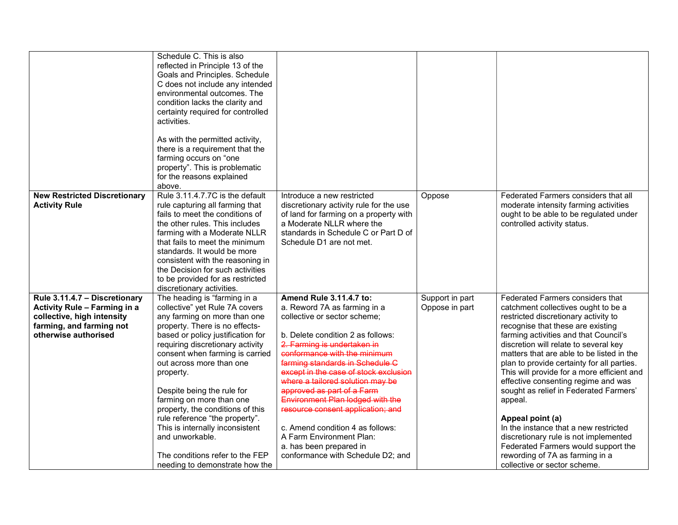|                                                                                                                                                 | Schedule C. This is also<br>reflected in Principle 13 of the<br>Goals and Principles. Schedule<br>C does not include any intended<br>environmental outcomes. The<br>condition lacks the clarity and<br>certainty required for controlled<br>activities.<br>As with the permitted activity,<br>there is a requirement that the<br>farming occurs on "one<br>property". This is problematic<br>for the reasons explained<br>above.                                                                                                                 |                                                                                                                                                                                                                                                                                                                                                                                                                                                                                                                                                    |                                   |                                                                                                                                                                                                                                                                                                                                                                                                                                                                                                                                                                                                                                                                                             |
|-------------------------------------------------------------------------------------------------------------------------------------------------|--------------------------------------------------------------------------------------------------------------------------------------------------------------------------------------------------------------------------------------------------------------------------------------------------------------------------------------------------------------------------------------------------------------------------------------------------------------------------------------------------------------------------------------------------|----------------------------------------------------------------------------------------------------------------------------------------------------------------------------------------------------------------------------------------------------------------------------------------------------------------------------------------------------------------------------------------------------------------------------------------------------------------------------------------------------------------------------------------------------|-----------------------------------|---------------------------------------------------------------------------------------------------------------------------------------------------------------------------------------------------------------------------------------------------------------------------------------------------------------------------------------------------------------------------------------------------------------------------------------------------------------------------------------------------------------------------------------------------------------------------------------------------------------------------------------------------------------------------------------------|
| <b>New Restricted Discretionary</b><br><b>Activity Rule</b>                                                                                     | Rule 3.11.4.7.7C is the default<br>rule capturing all farming that<br>fails to meet the conditions of<br>the other rules. This includes<br>farming with a Moderate NLLR<br>that fails to meet the minimum<br>standards. It would be more<br>consistent with the reasoning in<br>the Decision for such activities<br>to be provided for as restricted<br>discretionary activities.                                                                                                                                                                | Introduce a new restricted<br>discretionary activity rule for the use<br>of land for farming on a property with<br>a Moderate NLLR where the<br>standards in Schedule C or Part D of<br>Schedule D1 are not met.                                                                                                                                                                                                                                                                                                                                   | Oppose                            | Federated Farmers considers that all<br>moderate intensity farming activities<br>ought to be able to be regulated under<br>controlled activity status.                                                                                                                                                                                                                                                                                                                                                                                                                                                                                                                                      |
| Rule 3.11.4.7 - Discretionary<br>Activity Rule - Farming in a<br>collective, high intensity<br>farming, and farming not<br>otherwise authorised | The heading is "farming in a<br>collective" yet Rule 7A covers<br>any farming on more than one<br>property. There is no effects-<br>based or policy justification for<br>requiring discretionary activity<br>consent when farming is carried<br>out across more than one<br>property.<br>Despite being the rule for<br>farming on more than one<br>property, the conditions of this<br>rule reference "the property".<br>This is internally inconsistent<br>and unworkable.<br>The conditions refer to the FEP<br>needing to demonstrate how the | Amend Rule 3.11.4.7 to:<br>a. Reword 7A as farming in a<br>collective or sector scheme;<br>b. Delete condition 2 as follows:<br>2. Farming is undertaken in<br>conformance with the minimum<br>farming standards in Schedule C<br>except in the case of stock exclusion<br>where a tailored solution may be<br>approved as part of a Farm<br>Environment Plan lodged with the<br>resource consent application; and<br>c. Amend condition 4 as follows:<br>A Farm Environment Plan:<br>a. has been prepared in<br>conformance with Schedule D2; and | Support in part<br>Oppose in part | Federated Farmers considers that<br>catchment collectives ought to be a<br>restricted discretionary activity to<br>recognise that these are existing<br>farming activities and that Council's<br>discretion will relate to several key<br>matters that are able to be listed in the<br>plan to provide certainty for all parties.<br>This will provide for a more efficient and<br>effective consenting regime and was<br>sought as relief in Federated Farmers'<br>appeal.<br>Appeal point (a)<br>In the instance that a new restricted<br>discretionary rule is not implemented<br>Federated Farmers would support the<br>rewording of 7A as farming in a<br>collective or sector scheme. |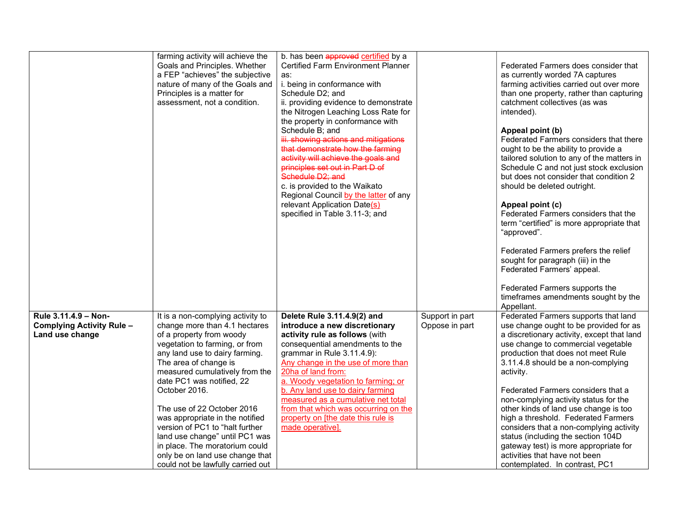|                                                                      | farming activity will achieve the<br>Goals and Principles. Whether<br>a FEP "achieves" the subjective<br>nature of many of the Goals and<br>Principles is a matter for<br>assessment, not a condition.                                                                                                                                                                                                                                                                                                                      | b. has been approved certified by a<br><b>Certified Farm Environment Planner</b><br>as:<br>i. being in conformance with<br>Schedule D2; and<br>ii. providing evidence to demonstrate<br>the Nitrogen Leaching Loss Rate for<br>the property in conformance with<br>Schedule B; and<br>iii. showing actions and mitigations<br>that demonstrate how the farming<br>activity will achieve the goals and<br>principles set out in Part D of<br>Schedule D <sub>2</sub> ; and<br>c. is provided to the Waikato<br>Regional Council by the latter of any<br>relevant Application Date(s)<br>specified in Table 3.11-3; and |                                   | Federated Farmers does consider that<br>as currently worded 7A captures<br>farming activities carried out over more<br>than one property, rather than capturing<br>catchment collectives (as was<br>intended).<br>Appeal point (b)<br>Federated Farmers considers that there<br>ought to be the ability to provide a<br>tailored solution to any of the matters in<br>Schedule C and not just stock exclusion<br>but does not consider that condition 2<br>should be deleted outright.<br>Appeal point (c)<br>Federated Farmers considers that the<br>term "certified" is more appropriate that<br>"approved".<br>Federated Farmers prefers the relief<br>sought for paragraph (iii) in the<br>Federated Farmers' appeal.<br>Federated Farmers supports the<br>timeframes amendments sought by the<br>Appellant. |
|----------------------------------------------------------------------|-----------------------------------------------------------------------------------------------------------------------------------------------------------------------------------------------------------------------------------------------------------------------------------------------------------------------------------------------------------------------------------------------------------------------------------------------------------------------------------------------------------------------------|-----------------------------------------------------------------------------------------------------------------------------------------------------------------------------------------------------------------------------------------------------------------------------------------------------------------------------------------------------------------------------------------------------------------------------------------------------------------------------------------------------------------------------------------------------------------------------------------------------------------------|-----------------------------------|------------------------------------------------------------------------------------------------------------------------------------------------------------------------------------------------------------------------------------------------------------------------------------------------------------------------------------------------------------------------------------------------------------------------------------------------------------------------------------------------------------------------------------------------------------------------------------------------------------------------------------------------------------------------------------------------------------------------------------------------------------------------------------------------------------------|
| Rule 3.11.4.9 - Non-<br>Complying Activity Rule -<br>Land use change | It is a non-complying activity to<br>change more than 4.1 hectares<br>of a property from woody<br>vegetation to farming, or from<br>any land use to dairy farming.<br>The area of change is<br>measured cumulatively from the<br>date PC1 was notified, 22<br>October 2016.<br>The use of 22 October 2016<br>was appropriate in the notified<br>version of PC1 to "halt further<br>land use change" until PC1 was<br>in place. The moratorium could<br>only be on land use change that<br>could not be lawfully carried out | Delete Rule 3.11.4.9(2) and<br>introduce a new discretionary<br>activity rule as follows (with<br>consequential amendments to the<br>grammar in Rule 3.11.4.9):<br>Any change in the use of more than<br>20ha of land from:<br>a. Woody vegetation to farming; or<br>b. Any land use to dairy farming<br>measured as a cumulative net total<br>from that which was occurring on the<br>property on [the date this rule is<br>made operative].                                                                                                                                                                         | Support in part<br>Oppose in part | Federated Farmers supports that land<br>use change ought to be provided for as<br>a discretionary activity, except that land<br>use change to commercial vegetable<br>production that does not meet Rule<br>3.11.4.8 should be a non-complying<br>activity.<br>Federated Farmers considers that a<br>non-complying activity status for the<br>other kinds of land use change is too<br>high a threshold. Federated Farmers<br>considers that a non-complying activity<br>status (including the section 104D<br>gateway test) is more appropriate for<br>activities that have not been<br>contemplated. In contrast, PC1                                                                                                                                                                                          |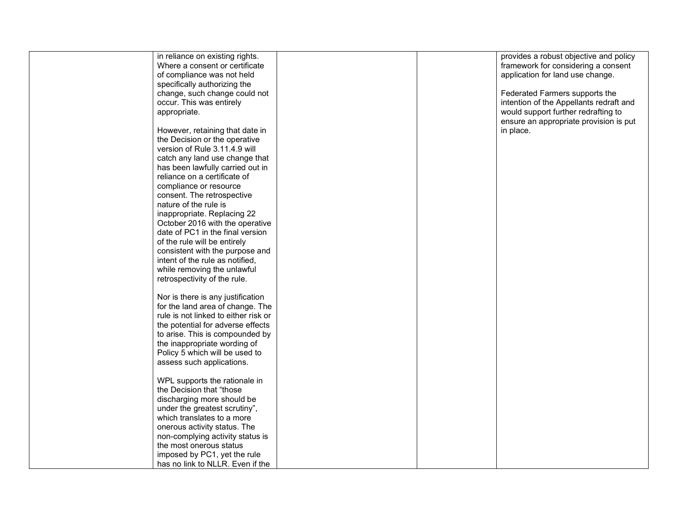|              | in reliance on existing rights.      |  | provides a robust objective and policy  |
|--------------|--------------------------------------|--|-----------------------------------------|
|              | Where a consent or certificate       |  | framework for considering a consent     |
|              | of compliance was not held           |  | application for land use change.        |
|              | specifically authorizing the         |  |                                         |
|              |                                      |  |                                         |
|              | change, such change could not        |  | Federated Farmers supports the          |
|              | occur. This was entirely             |  | intention of the Appellants redraft and |
| appropriate. |                                      |  | would support further redrafting to     |
|              |                                      |  | ensure an appropriate provision is put  |
|              | However, retaining that date in      |  | in place.                               |
|              | the Decision or the operative        |  |                                         |
|              | version of Rule 3.11.4.9 will        |  |                                         |
|              | catch any land use change that       |  |                                         |
|              |                                      |  |                                         |
|              | has been lawfully carried out in     |  |                                         |
|              | reliance on a certificate of         |  |                                         |
|              | compliance or resource               |  |                                         |
|              | consent. The retrospective           |  |                                         |
|              | nature of the rule is                |  |                                         |
|              | inappropriate. Replacing 22          |  |                                         |
|              | October 2016 with the operative      |  |                                         |
|              | date of PC1 in the final version     |  |                                         |
|              | of the rule will be entirely         |  |                                         |
|              | consistent with the purpose and      |  |                                         |
|              |                                      |  |                                         |
|              | intent of the rule as notified,      |  |                                         |
|              | while removing the unlawful          |  |                                         |
|              | retrospectivity of the rule.         |  |                                         |
|              |                                      |  |                                         |
|              | Nor is there is any justification    |  |                                         |
|              | for the land area of change. The     |  |                                         |
|              | rule is not linked to either risk or |  |                                         |
|              | the potential for adverse effects    |  |                                         |
|              | to arise. This is compounded by      |  |                                         |
|              | the inappropriate wording of         |  |                                         |
|              | Policy 5 which will be used to       |  |                                         |
|              |                                      |  |                                         |
|              | assess such applications.            |  |                                         |
|              |                                      |  |                                         |
|              | WPL supports the rationale in        |  |                                         |
|              | the Decision that "those             |  |                                         |
|              | discharging more should be           |  |                                         |
|              | under the greatest scrutiny",        |  |                                         |
|              | which translates to a more           |  |                                         |
|              | onerous activity status. The         |  |                                         |
|              | non-complying activity status is     |  |                                         |
|              | the most onerous status              |  |                                         |
|              | imposed by PC1, yet the rule         |  |                                         |
|              |                                      |  |                                         |
|              | has no link to NLLR. Even if the     |  |                                         |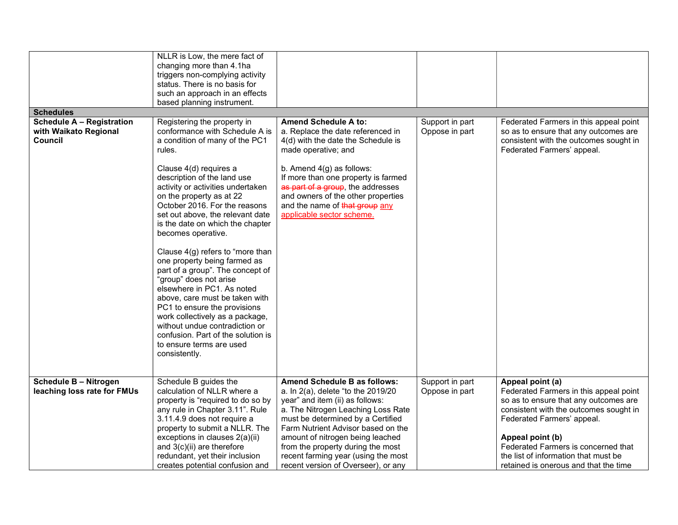|                                  | NLLR is Low, the mere fact of<br>changing more than 4.1ha                                                                                                                                                                                                                                                                                                                              |                                                                                                                                                                               |                 |                                                                                                               |
|----------------------------------|----------------------------------------------------------------------------------------------------------------------------------------------------------------------------------------------------------------------------------------------------------------------------------------------------------------------------------------------------------------------------------------|-------------------------------------------------------------------------------------------------------------------------------------------------------------------------------|-----------------|---------------------------------------------------------------------------------------------------------------|
|                                  | triggers non-complying activity                                                                                                                                                                                                                                                                                                                                                        |                                                                                                                                                                               |                 |                                                                                                               |
|                                  | status. There is no basis for                                                                                                                                                                                                                                                                                                                                                          |                                                                                                                                                                               |                 |                                                                                                               |
|                                  | such an approach in an effects                                                                                                                                                                                                                                                                                                                                                         |                                                                                                                                                                               |                 |                                                                                                               |
| <b>Schedules</b>                 | based planning instrument.                                                                                                                                                                                                                                                                                                                                                             |                                                                                                                                                                               |                 |                                                                                                               |
| <b>Schedule A - Registration</b> | Registering the property in                                                                                                                                                                                                                                                                                                                                                            | <b>Amend Schedule A to:</b>                                                                                                                                                   | Support in part | Federated Farmers in this appeal point                                                                        |
| with Waikato Regional<br>Council | conformance with Schedule A is<br>a condition of many of the PC1<br>rules.<br>Clause 4(d) requires a                                                                                                                                                                                                                                                                                   | a. Replace the date referenced in<br>4(d) with the date the Schedule is<br>made operative; and<br>b. Amend $4(g)$ as follows:                                                 | Oppose in part  | so as to ensure that any outcomes are<br>consistent with the outcomes sought in<br>Federated Farmers' appeal. |
|                                  | description of the land use<br>activity or activities undertaken<br>on the property as at 22<br>October 2016. For the reasons<br>set out above, the relevant date<br>is the date on which the chapter<br>becomes operative.                                                                                                                                                            | If more than one property is farmed<br>as part of a group, the addresses<br>and owners of the other properties<br>and the name of that group any<br>applicable sector scheme. |                 |                                                                                                               |
|                                  | Clause 4(g) refers to "more than<br>one property being farmed as<br>part of a group". The concept of<br>"group" does not arise<br>elsewhere in PC1. As noted<br>above, care must be taken with<br>PC1 to ensure the provisions<br>work collectively as a package,<br>without undue contradiction or<br>confusion. Part of the solution is<br>to ensure terms are used<br>consistently. |                                                                                                                                                                               |                 |                                                                                                               |
| <b>Schedule B - Nitrogen</b>     | Schedule B guides the                                                                                                                                                                                                                                                                                                                                                                  | Amend Schedule B as follows:                                                                                                                                                  | Support in part | Appeal point (a)                                                                                              |
| leaching loss rate for FMUs      | calculation of NLLR where a<br>property is "required to do so by                                                                                                                                                                                                                                                                                                                       | a. In 2(a), delete "to the 2019/20<br>year" and item (ii) as follows:                                                                                                         | Oppose in part  | Federated Farmers in this appeal point<br>so as to ensure that any outcomes are                               |
|                                  | any rule in Chapter 3.11". Rule                                                                                                                                                                                                                                                                                                                                                        | a. The Nitrogen Leaching Loss Rate                                                                                                                                            |                 | consistent with the outcomes sought in                                                                        |
|                                  | 3.11.4.9 does not require a                                                                                                                                                                                                                                                                                                                                                            | must be determined by a Certified                                                                                                                                             |                 | Federated Farmers' appeal.                                                                                    |
|                                  | property to submit a NLLR. The                                                                                                                                                                                                                                                                                                                                                         | Farm Nutrient Advisor based on the                                                                                                                                            |                 |                                                                                                               |
|                                  | exceptions in clauses 2(a)(ii)                                                                                                                                                                                                                                                                                                                                                         | amount of nitrogen being leached                                                                                                                                              |                 | Appeal point (b)<br>Federated Farmers is concerned that                                                       |
|                                  | and 3(c)(ii) are therefore<br>redundant, yet their inclusion                                                                                                                                                                                                                                                                                                                           | from the property during the most<br>recent farming year (using the most                                                                                                      |                 | the list of information that must be                                                                          |
|                                  | creates potential confusion and                                                                                                                                                                                                                                                                                                                                                        | recent version of Overseer), or any                                                                                                                                           |                 | retained is onerous and that the time                                                                         |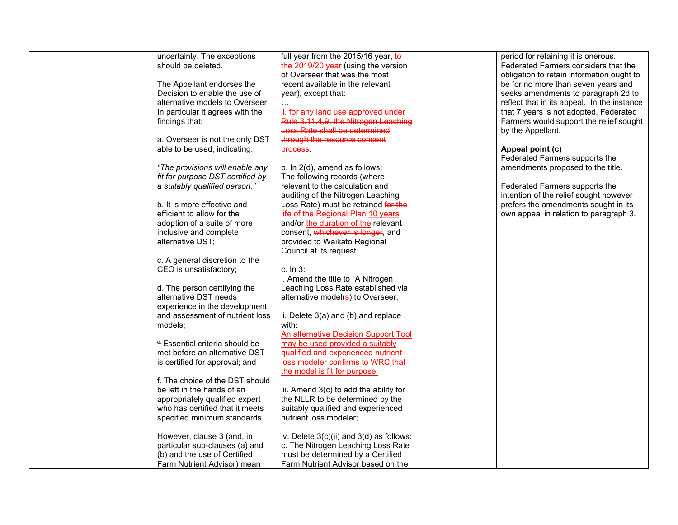| uncertainty. The exceptions      | full year from the 2015/16 year, to         | period for retaining it is onerous.         |
|----------------------------------|---------------------------------------------|---------------------------------------------|
| should be deleted.               | the 2019/20 year (using the version         | Federated Farmers considers that the        |
|                                  | of Overseer that was the most               | obligation to retain information ought to   |
|                                  |                                             |                                             |
| The Appellant endorses the       | recent available in the relevant            | be for no more than seven years and         |
| Decision to enable the use of    | year), except that:                         | seeks amendments to paragraph 2d to         |
| alternative models to Overseer.  |                                             | reflect that in its appeal. In the instance |
| In particular it agrees with the | ii. for any land use approved under         | that 7 years is not adopted, Federated      |
| findings that:                   | Rule 3.11.4.9, the Nitrogen Leaching        | Farmers would support the relief sought     |
|                                  | Loss Rate shall be determined               |                                             |
|                                  |                                             | by the Appellant.                           |
| a. Overseer is not the only DST  | through the resource consent                |                                             |
| able to be used, indicating:     | process.                                    | Appeal point (c)                            |
|                                  |                                             | Federated Farmers supports the              |
| "The provisions will enable any  | b. In 2(d), amend as follows:               | amendments proposed to the title.           |
| fit for purpose DST certified by | The following records (where                |                                             |
| a suitably qualified person."    | relevant to the calculation and             | Federated Farmers supports the              |
|                                  | auditing of the Nitrogen Leaching           | intention of the relief sought however      |
|                                  |                                             |                                             |
| b. It is more effective and      | Loss Rate) must be retained for the         | prefers the amendments sought in its        |
| efficient to allow for the       | life of the Regional Plan 10 years          | own appeal in relation to paragraph 3.      |
| adoption of a suite of more      | and/or the duration of the relevant         |                                             |
| inclusive and complete           | consent, whichever is longer, and           |                                             |
| alternative DST;                 | provided to Waikato Regional                |                                             |
|                                  | Council at its request                      |                                             |
| c. A general discretion to the   |                                             |                                             |
|                                  |                                             |                                             |
| CEO is unsatisfactory;           | c. In $3:$                                  |                                             |
|                                  | i. Amend the title to "A Nitrogen           |                                             |
| d. The person certifying the     | Leaching Loss Rate established via          |                                             |
| alternative DST needs            | alternative model(s) to Overseer;           |                                             |
| experience in the development    |                                             |                                             |
| and assessment of nutrient loss  | ii. Delete 3(a) and (b) and replace         |                                             |
| models:                          | with:                                       |                                             |
|                                  |                                             |                                             |
|                                  | <b>An alternative Decision Support Tool</b> |                                             |
| e. Essential criteria should be  | may be used provided a suitably             |                                             |
| met before an alternative DST    | qualified and experienced nutrient          |                                             |
| is certified for approval; and   | loss modeler confirms to WRC that           |                                             |
|                                  | the model is fit for purpose.               |                                             |
| f. The choice of the DST should  |                                             |                                             |
| be left in the hands of an       | iii. Amend 3(c) to add the ability for      |                                             |
| appropriately qualified expert   | the NLLR to be determined by the            |                                             |
|                                  |                                             |                                             |
| who has certified that it meets  | suitably qualified and experienced          |                                             |
| specified minimum standards.     | nutrient loss modeler;                      |                                             |
|                                  |                                             |                                             |
| However, clause 3 (and, in       | iv. Delete 3(c)(ii) and 3(d) as follows:    |                                             |
| particular sub-clauses (a) and   | c. The Nitrogen Leaching Loss Rate          |                                             |
| (b) and the use of Certified     | must be determined by a Certified           |                                             |
| Farm Nutrient Advisor) mean      | Farm Nutrient Advisor based on the          |                                             |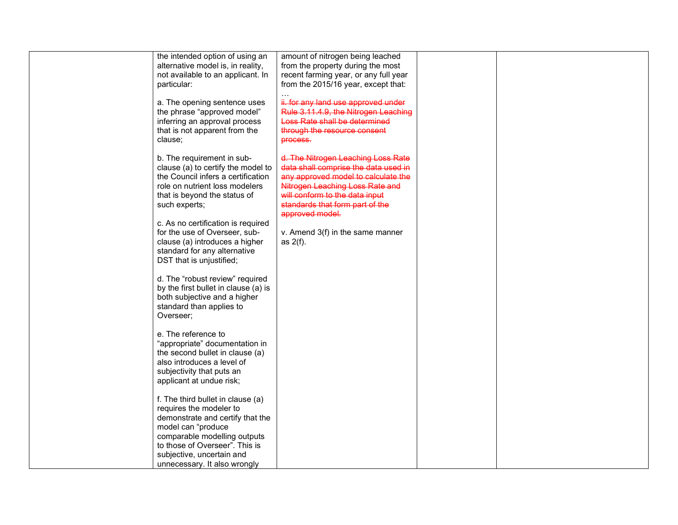| the intended option of using an      | amount of nitrogen being leached      |  |
|--------------------------------------|---------------------------------------|--|
| alternative model is, in reality,    | from the property during the most     |  |
| not available to an applicant. In    | recent farming year, or any full year |  |
| particular:                          | from the 2015/16 year, except that:   |  |
|                                      |                                       |  |
|                                      |                                       |  |
| a. The opening sentence uses         | ii. for any land use approved under   |  |
| the phrase "approved model"          | Rule 3.11.4.9, the Nitrogen Leaching  |  |
| inferring an approval process        | Loss Rate shall be determined         |  |
| that is not apparent from the        | through the resource consent          |  |
| clause;                              | process.                              |  |
|                                      |                                       |  |
| b. The requirement in sub-           | d. The Nitrogen Leaching Loss Rate    |  |
|                                      |                                       |  |
| clause (a) to certify the model to   | data shall comprise the data used in  |  |
| the Council infers a certification   | any approved model to calculate the   |  |
| role on nutrient loss modelers       | Nitrogen Leaching Loss Rate and       |  |
| that is beyond the status of         | will conform to the data input        |  |
| such experts;                        | standards that form part of the       |  |
|                                      | approved model.                       |  |
| c. As no certification is required   |                                       |  |
| for the use of Overseer, sub-        |                                       |  |
|                                      | v. Amend 3(f) in the same manner      |  |
| clause (a) introduces a higher       | as $2(f)$ .                           |  |
| standard for any alternative         |                                       |  |
| DST that is unjustified;             |                                       |  |
|                                      |                                       |  |
| d. The "robust review" required      |                                       |  |
| by the first bullet in clause (a) is |                                       |  |
| both subjective and a higher         |                                       |  |
|                                      |                                       |  |
| standard than applies to             |                                       |  |
| Overseer;                            |                                       |  |
|                                      |                                       |  |
| e. The reference to                  |                                       |  |
| "appropriate" documentation in       |                                       |  |
| the second bullet in clause (a)      |                                       |  |
| also introduces a level of           |                                       |  |
| subjectivity that puts an            |                                       |  |
|                                      |                                       |  |
| applicant at undue risk;             |                                       |  |
|                                      |                                       |  |
| f. The third bullet in clause (a)    |                                       |  |
| requires the modeler to              |                                       |  |
| demonstrate and certify that the     |                                       |  |
| model can "produce                   |                                       |  |
| comparable modelling outputs         |                                       |  |
| to those of Overseer". This is       |                                       |  |
|                                      |                                       |  |
| subjective, uncertain and            |                                       |  |
| unnecessary. It also wrongly         |                                       |  |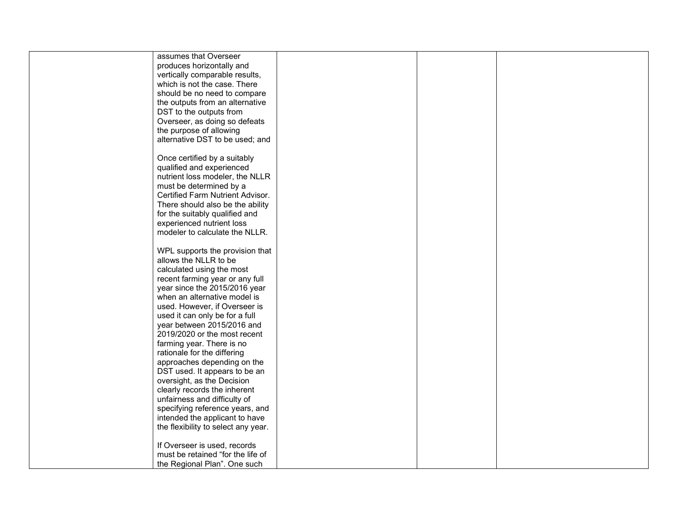| assumes that Overseer               |  |
|-------------------------------------|--|
| produces horizontally and           |  |
| vertically comparable results,      |  |
|                                     |  |
| which is not the case. There        |  |
| should be no need to compare        |  |
| the outputs from an alternative     |  |
| DST to the outputs from             |  |
| Overseer, as doing so defeats       |  |
| the purpose of allowing             |  |
| alternative DST to be used; and     |  |
|                                     |  |
|                                     |  |
| Once certified by a suitably        |  |
| qualified and experienced           |  |
| nutrient loss modeler, the NLLR     |  |
| must be determined by a             |  |
| Certified Farm Nutrient Advisor.    |  |
| There should also be the ability    |  |
| for the suitably qualified and      |  |
|                                     |  |
| experienced nutrient loss           |  |
| modeler to calculate the NLLR.      |  |
|                                     |  |
| WPL supports the provision that     |  |
| allows the NLLR to be               |  |
| calculated using the most           |  |
| recent farming year or any full     |  |
| year since the 2015/2016 year       |  |
| when an alternative model is        |  |
|                                     |  |
| used. However, if Overseer is       |  |
| used it can only be for a full      |  |
| year between 2015/2016 and          |  |
| 2019/2020 or the most recent        |  |
| farming year. There is no           |  |
| rationale for the differing         |  |
| approaches depending on the         |  |
| DST used. It appears to be an       |  |
| oversight, as the Decision          |  |
| clearly records the inherent        |  |
|                                     |  |
| unfairness and difficulty of        |  |
| specifying reference years, and     |  |
| intended the applicant to have      |  |
| the flexibility to select any year. |  |
|                                     |  |
| If Overseer is used, records        |  |
| must be retained "for the life of   |  |
| the Regional Plan". One such        |  |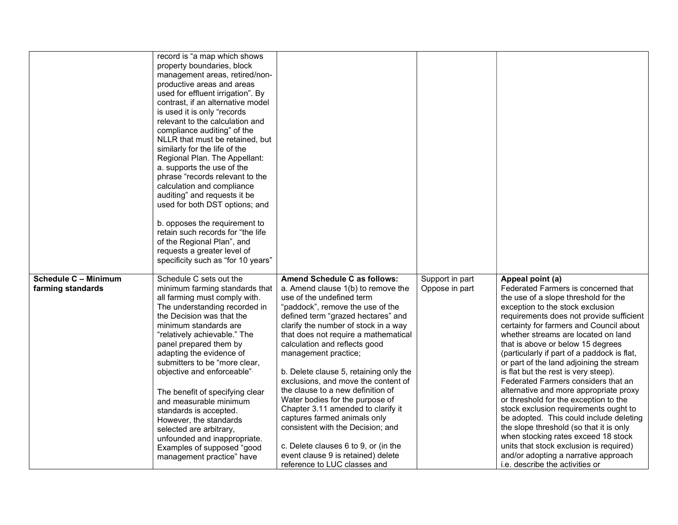|                                                  | record is "a map which shows<br>property boundaries, block<br>management areas, retired/non-<br>productive areas and areas<br>used for effluent irrigation". By<br>contrast, if an alternative model<br>is used it is only "records<br>relevant to the calculation and<br>compliance auditing" of the<br>NLLR that must be retained, but<br>similarly for the life of the<br>Regional Plan. The Appellant:<br>a. supports the use of the<br>phrase "records relevant to the<br>calculation and compliance<br>auditing" and requests it be<br>used for both DST options; and<br>b. opposes the requirement to<br>retain such records for "the life<br>of the Regional Plan", and<br>requests a greater level of<br>specificity such as "for 10 years" |                                                                                                                                                                                                                                                                                                                                                                                                                                                                                                                                                                                                                                                                                                      |                                   |                                                                                                                                                                                                                                                                                                                                                                                                                                                                                                                                                                                                                                                                                                                                                                                                                                                                 |
|--------------------------------------------------|------------------------------------------------------------------------------------------------------------------------------------------------------------------------------------------------------------------------------------------------------------------------------------------------------------------------------------------------------------------------------------------------------------------------------------------------------------------------------------------------------------------------------------------------------------------------------------------------------------------------------------------------------------------------------------------------------------------------------------------------------|------------------------------------------------------------------------------------------------------------------------------------------------------------------------------------------------------------------------------------------------------------------------------------------------------------------------------------------------------------------------------------------------------------------------------------------------------------------------------------------------------------------------------------------------------------------------------------------------------------------------------------------------------------------------------------------------------|-----------------------------------|-----------------------------------------------------------------------------------------------------------------------------------------------------------------------------------------------------------------------------------------------------------------------------------------------------------------------------------------------------------------------------------------------------------------------------------------------------------------------------------------------------------------------------------------------------------------------------------------------------------------------------------------------------------------------------------------------------------------------------------------------------------------------------------------------------------------------------------------------------------------|
| <b>Schedule C - Minimum</b><br>farming standards | Schedule C sets out the<br>minimum farming standards that<br>all farming must comply with.<br>The understanding recorded in<br>the Decision was that the<br>minimum standards are<br>"relatively achievable." The<br>panel prepared them by<br>adapting the evidence of<br>submitters to be "more clear,<br>objective and enforceable"<br>The benefit of specifying clear<br>and measurable minimum<br>standards is accepted.<br>However, the standards<br>selected are arbitrary,<br>unfounded and inappropriate.<br>Examples of supposed "good<br>management practice" have                                                                                                                                                                        | Amend Schedule C as follows:<br>a. Amend clause 1(b) to remove the<br>use of the undefined term<br>"paddock", remove the use of the<br>defined term "grazed hectares" and<br>clarify the number of stock in a way<br>that does not require a mathematical<br>calculation and reflects good<br>management practice;<br>b. Delete clause 5, retaining only the<br>exclusions, and move the content of<br>the clause to a new definition of<br>Water bodies for the purpose of<br>Chapter 3.11 amended to clarify it<br>captures farmed animals only<br>consistent with the Decision; and<br>c. Delete clauses 6 to 9, or (in the<br>event clause 9 is retained) delete<br>reference to LUC classes and | Support in part<br>Oppose in part | Appeal point (a)<br>Federated Farmers is concerned that<br>the use of a slope threshold for the<br>exception to the stock exclusion<br>requirements does not provide sufficient<br>certainty for farmers and Council about<br>whether streams are located on land<br>that is above or below 15 degrees<br>(particularly if part of a paddock is flat,<br>or part of the land adjoining the stream<br>is flat but the rest is very steep).<br>Federated Farmers considers that an<br>alternative and more appropriate proxy<br>or threshold for the exception to the<br>stock exclusion requirements ought to<br>be adopted. This could include deleting<br>the slope threshold (so that it is only<br>when stocking rates exceed 18 stock<br>units that stock exclusion is required)<br>and/or adopting a narrative approach<br>i.e. describe the activities or |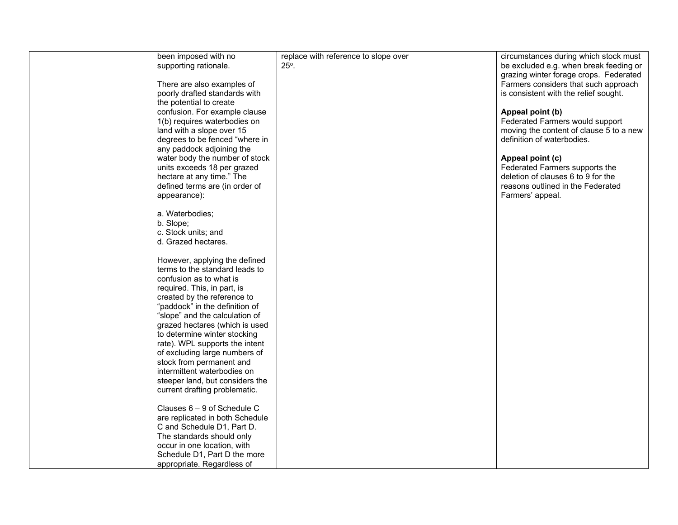| been imposed with no            | replace with reference to slope over | circumstances during which stock must   |
|---------------------------------|--------------------------------------|-----------------------------------------|
| supporting rationale.           | $25^\circ$ .                         | be excluded e.g. when break feeding or  |
|                                 |                                      | grazing winter forage crops. Federated  |
| There are also examples of      |                                      | Farmers considers that such approach    |
| poorly drafted standards with   |                                      | is consistent with the relief sought.   |
| the potential to create         |                                      |                                         |
| confusion. For example clause   |                                      | Appeal point (b)                        |
| 1(b) requires waterbodies on    |                                      | Federated Farmers would support         |
| land with a slope over 15       |                                      | moving the content of clause 5 to a new |
| degrees to be fenced "where in  |                                      | definition of waterbodies.              |
| any paddock adjoining the       |                                      |                                         |
| water body the number of stock  |                                      | Appeal point (c)                        |
| units exceeds 18 per grazed     |                                      | Federated Farmers supports the          |
| hectare at any time." The       |                                      | deletion of clauses 6 to 9 for the      |
| defined terms are (in order of  |                                      | reasons outlined in the Federated       |
| appearance):                    |                                      | Farmers' appeal.                        |
|                                 |                                      |                                         |
| a. Waterbodies;                 |                                      |                                         |
| b. Slope;                       |                                      |                                         |
| c. Stock units; and             |                                      |                                         |
| d. Grazed hectares.             |                                      |                                         |
|                                 |                                      |                                         |
| However, applying the defined   |                                      |                                         |
| terms to the standard leads to  |                                      |                                         |
| confusion as to what is         |                                      |                                         |
| required. This, in part, is     |                                      |                                         |
| created by the reference to     |                                      |                                         |
| "paddock" in the definition of  |                                      |                                         |
| "slope" and the calculation of  |                                      |                                         |
| grazed hectares (which is used  |                                      |                                         |
| to determine winter stocking    |                                      |                                         |
|                                 |                                      |                                         |
| rate). WPL supports the intent  |                                      |                                         |
| of excluding large numbers of   |                                      |                                         |
| stock from permanent and        |                                      |                                         |
| intermittent waterbodies on     |                                      |                                         |
| steeper land, but considers the |                                      |                                         |
| current drafting problematic.   |                                      |                                         |
| Clauses $6 - 9$ of Schedule C   |                                      |                                         |
| are replicated in both Schedule |                                      |                                         |
|                                 |                                      |                                         |
| C and Schedule D1, Part D.      |                                      |                                         |
| The standards should only       |                                      |                                         |
| occur in one location, with     |                                      |                                         |
| Schedule D1, Part D the more    |                                      |                                         |
| appropriate. Regardless of      |                                      |                                         |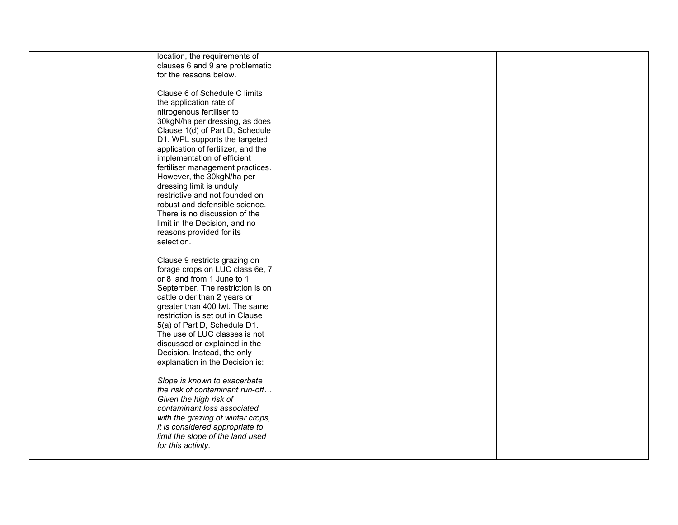| location, the requirements of      |  |
|------------------------------------|--|
| clauses 6 and 9 are problematic    |  |
| for the reasons below.             |  |
|                                    |  |
|                                    |  |
| Clause 6 of Schedule C limits      |  |
| the application rate of            |  |
|                                    |  |
| nitrogenous fertiliser to          |  |
| 30kgN/ha per dressing, as does     |  |
| Clause 1(d) of Part D, Schedule    |  |
| D1. WPL supports the targeted      |  |
|                                    |  |
| application of fertilizer, and the |  |
| implementation of efficient        |  |
| fertiliser management practices.   |  |
| However, the 30kgN/ha per          |  |
| dressing limit is unduly           |  |
|                                    |  |
| restrictive and not founded on     |  |
| robust and defensible science.     |  |
| There is no discussion of the      |  |
| limit in the Decision, and no      |  |
|                                    |  |
| reasons provided for its           |  |
| selection.                         |  |
|                                    |  |
| Clause 9 restricts grazing on      |  |
|                                    |  |
| forage crops on LUC class 6e, 7    |  |
| or 8 land from 1 June to 1         |  |
| September. The restriction is on   |  |
| cattle older than 2 years or       |  |
|                                    |  |
| greater than 400 lwt. The same     |  |
| restriction is set out in Clause   |  |
| 5(a) of Part D, Schedule D1.       |  |
| The use of LUC classes is not      |  |
| discussed or explained in the      |  |
|                                    |  |
| Decision. Instead, the only        |  |
| explanation in the Decision is:    |  |
|                                    |  |
| Slope is known to exacerbate       |  |
|                                    |  |
| the risk of contaminant run-off    |  |
| Given the high risk of             |  |
| contaminant loss associated        |  |
| with the grazing of winter crops,  |  |
|                                    |  |
| it is considered appropriate to    |  |
| limit the slope of the land used   |  |
| for this activity.                 |  |
|                                    |  |
|                                    |  |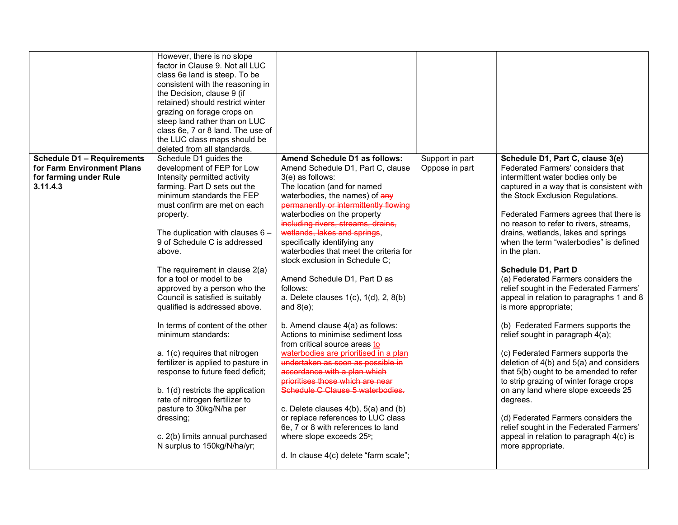|                                                                                                       | However, there is no slope<br>factor in Clause 9. Not all LUC<br>class 6e land is steep. To be<br>consistent with the reasoning in<br>the Decision, clause 9 (if<br>retained) should restrict winter<br>grazing on forage crops on<br>steep land rather than on LUC<br>class 6e, 7 or 8 land. The use of<br>the LUC class maps should be<br>deleted from all standards.                                                                                                                                                                                                                                                                                                                                                                                                                                     |                                                                                                                                                                                                                                                                                                                                                                                                                                                                                                                                                                                                                                                                                                                                                                                                                                                                                                                                                                                                                         |                                   |                                                                                                                                                                                                                                                                                                                                                                                                                                                                                                                                                                                                                                                                                                                                                                                                                                                                                                                                                                                                                   |
|-------------------------------------------------------------------------------------------------------|-------------------------------------------------------------------------------------------------------------------------------------------------------------------------------------------------------------------------------------------------------------------------------------------------------------------------------------------------------------------------------------------------------------------------------------------------------------------------------------------------------------------------------------------------------------------------------------------------------------------------------------------------------------------------------------------------------------------------------------------------------------------------------------------------------------|-------------------------------------------------------------------------------------------------------------------------------------------------------------------------------------------------------------------------------------------------------------------------------------------------------------------------------------------------------------------------------------------------------------------------------------------------------------------------------------------------------------------------------------------------------------------------------------------------------------------------------------------------------------------------------------------------------------------------------------------------------------------------------------------------------------------------------------------------------------------------------------------------------------------------------------------------------------------------------------------------------------------------|-----------------------------------|-------------------------------------------------------------------------------------------------------------------------------------------------------------------------------------------------------------------------------------------------------------------------------------------------------------------------------------------------------------------------------------------------------------------------------------------------------------------------------------------------------------------------------------------------------------------------------------------------------------------------------------------------------------------------------------------------------------------------------------------------------------------------------------------------------------------------------------------------------------------------------------------------------------------------------------------------------------------------------------------------------------------|
| <b>Schedule D1 - Requirements</b><br>for Farm Environment Plans<br>for farming under Rule<br>3.11.4.3 | Schedule D1 guides the<br>development of FEP for Low<br>Intensity permitted activity<br>farming. Part D sets out the<br>minimum standards the FEP<br>must confirm are met on each<br>property.<br>The duplication with clauses $6 -$<br>9 of Schedule C is addressed<br>above.<br>The requirement in clause 2(a)<br>for a tool or model to be<br>approved by a person who the<br>Council is satisfied is suitably<br>qualified is addressed above.<br>In terms of content of the other<br>minimum standards:<br>a. 1(c) requires that nitrogen<br>fertilizer is applied to pasture in<br>response to future feed deficit;<br>b. 1(d) restricts the application<br>rate of nitrogen fertilizer to<br>pasture to 30kg/N/ha per<br>dressing;<br>c. 2(b) limits annual purchased<br>N surplus to 150kg/N/ha/yr; | Amend Schedule D1 as follows:<br>Amend Schedule D1, Part C, clause<br>3(e) as follows:<br>The location (and for named<br>waterbodies, the names) of any<br>permanently or intermittently flowing<br>waterbodies on the property<br>including rivers, streams, drains,<br>wetlands, lakes and springs,<br>specifically identifying any<br>waterbodies that meet the criteria for<br>stock exclusion in Schedule C;<br>Amend Schedule D1, Part D as<br>follows:<br>a. Delete clauses 1(c), 1(d), 2, 8(b)<br>and $8(e)$ ;<br>b. Amend clause 4(a) as follows:<br>Actions to minimise sediment loss<br>from critical source areas to<br>waterbodies are prioritised in a plan<br>undertaken as soon as possible in<br>accordance with a plan which<br>prioritises those which are near<br>Schedule C Clause 5 waterbodies.<br>c. Delete clauses $4(b)$ , $5(a)$ and $(b)$<br>or replace references to LUC class<br>6e, 7 or 8 with references to land<br>where slope exceeds 25°;<br>d. In clause 4(c) delete "farm scale"; | Support in part<br>Oppose in part | Schedule D1, Part C, clause 3(e)<br>Federated Farmers' considers that<br>intermittent water bodies only be<br>captured in a way that is consistent with<br>the Stock Exclusion Regulations.<br>Federated Farmers agrees that there is<br>no reason to refer to rivers, streams,<br>drains, wetlands, lakes and springs<br>when the term "waterbodies" is defined<br>in the plan.<br>Schedule D1, Part D<br>(a) Federated Farmers considers the<br>relief sought in the Federated Farmers'<br>appeal in relation to paragraphs 1 and 8<br>is more appropriate;<br>(b) Federated Farmers supports the<br>relief sought in paragraph 4(a);<br>(c) Federated Farmers supports the<br>deletion of 4(b) and 5(a) and considers<br>that 5(b) ought to be amended to refer<br>to strip grazing of winter forage crops<br>on any land where slope exceeds 25<br>degrees.<br>(d) Federated Farmers considers the<br>relief sought in the Federated Farmers'<br>appeal in relation to paragraph 4(c) is<br>more appropriate. |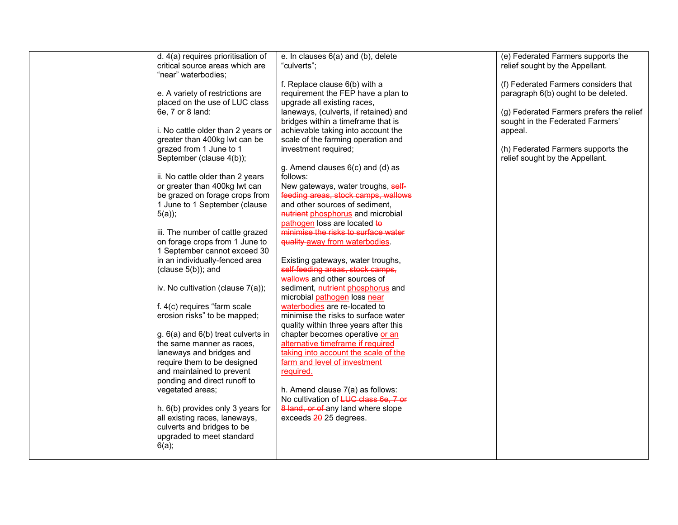| d. 4(a) requires prioritisation of     | e. In clauses 6(a) and (b), delete    | (e) Federated Farmers supports the       |
|----------------------------------------|---------------------------------------|------------------------------------------|
| critical source areas which are        | "culverts";                           | relief sought by the Appellant.          |
| "near" waterbodies;                    |                                       |                                          |
|                                        | f. Replace clause 6(b) with a         | (f) Federated Farmers considers that     |
| e. A variety of restrictions are       | requirement the FEP have a plan to    | paragraph 6(b) ought to be deleted.      |
| placed on the use of LUC class         | upgrade all existing races,           |                                          |
| 6e, 7 or 8 land:                       | laneways, (culverts, if retained) and | (g) Federated Farmers prefers the relief |
|                                        | bridges within a timeframe that is    | sought in the Federated Farmers'         |
|                                        |                                       |                                          |
| i. No cattle older than 2 years or     | achievable taking into account the    | appeal.                                  |
| greater than 400kg lwt can be          | scale of the farming operation and    |                                          |
| grazed from 1 June to 1                | investment required;                  | (h) Federated Farmers supports the       |
| September (clause 4(b));               |                                       | relief sought by the Appellant.          |
|                                        | g. Amend clauses $6(c)$ and $(d)$ as  |                                          |
| ii. No cattle older than 2 years       | follows:                              |                                          |
| or greater than 400kg lwt can          | New gateways, water troughs, self-    |                                          |
| be grazed on forage crops from         | feeding areas, stock camps, wallows   |                                          |
| 1 June to 1 September (clause          | and other sources of sediment,        |                                          |
| $5(a)$ ;                               | nutrient phosphorus and microbial     |                                          |
|                                        | pathogen loss are located to          |                                          |
| iii. The number of cattle grazed       | minimise the risks to surface water   |                                          |
| on forage crops from 1 June to         | quality away from waterbodies.        |                                          |
| 1 September cannot exceed 30           |                                       |                                          |
|                                        |                                       |                                          |
| in an individually-fenced area         | Existing gateways, water troughs,     |                                          |
| (clause $5(b)$ ); and                  | self-feeding areas, stock camps,      |                                          |
|                                        | wallows and other sources of          |                                          |
| iv. No cultivation (clause 7(a));      | sediment, nutrient phosphorus and     |                                          |
|                                        | microbial pathogen loss near          |                                          |
| f. 4(c) requires "farm scale           | waterbodies are re-located to         |                                          |
| erosion risks" to be mapped;           | minimise the risks to surface water   |                                          |
|                                        | quality within three years after this |                                          |
| $g. 6(a)$ and $6(b)$ treat culverts in | chapter becomes operative or an       |                                          |
| the same manner as races,              | alternative timeframe if required     |                                          |
| laneways and bridges and               | taking into account the scale of the  |                                          |
| require them to be designed            | farm and level of investment          |                                          |
| and maintained to prevent              | required.                             |                                          |
| ponding and direct runoff to           |                                       |                                          |
|                                        |                                       |                                          |
| vegetated areas;                       | h. Amend clause 7(a) as follows:      |                                          |
|                                        | No cultivation of LUC class 6e, 7 or  |                                          |
| h. 6(b) provides only 3 years for      | 8 land, or of any land where slope    |                                          |
| all existing races, laneways,          | exceeds 20 25 degrees.                |                                          |
| culverts and bridges to be             |                                       |                                          |
| upgraded to meet standard              |                                       |                                          |
| $6(a)$ ;                               |                                       |                                          |
|                                        |                                       |                                          |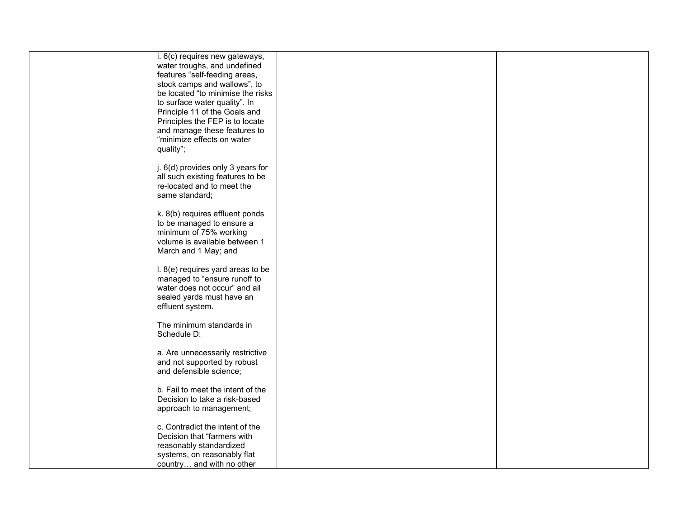| i. 6(c) requires new gateways,                                    |  |  |
|-------------------------------------------------------------------|--|--|
| water troughs, and undefined                                      |  |  |
| features "self-feeding areas,                                     |  |  |
| stock camps and wallows", to                                      |  |  |
| be located "to minimise the risks                                 |  |  |
| to surface water quality". In                                     |  |  |
| Principle 11 of the Goals and                                     |  |  |
| Principles the FEP is to locate                                   |  |  |
| and manage these features to                                      |  |  |
| "minimize effects on water                                        |  |  |
| quality";                                                         |  |  |
|                                                                   |  |  |
| j. 6(d) provides only 3 years for                                 |  |  |
| all such existing features to be                                  |  |  |
| re-located and to meet the                                        |  |  |
| same standard;                                                    |  |  |
|                                                                   |  |  |
| k. 8(b) requires effluent ponds                                   |  |  |
|                                                                   |  |  |
| to be managed to ensure a<br>minimum of 75% working               |  |  |
| volume is available between 1                                     |  |  |
|                                                                   |  |  |
| March and 1 May; and                                              |  |  |
|                                                                   |  |  |
| I. 8(e) requires yard areas to be<br>managed to "ensure runoff to |  |  |
|                                                                   |  |  |
| water does not occur" and all                                     |  |  |
| sealed yards must have an                                         |  |  |
| effluent system.                                                  |  |  |
| The minimum standards in                                          |  |  |
| Schedule D:                                                       |  |  |
|                                                                   |  |  |
| a. Are unnecessarily restrictive                                  |  |  |
| and not supported by robust                                       |  |  |
| and defensible science;                                           |  |  |
|                                                                   |  |  |
| b. Fail to meet the intent of the                                 |  |  |
| Decision to take a risk-based                                     |  |  |
| approach to management;                                           |  |  |
|                                                                   |  |  |
| c. Contradict the intent of the                                   |  |  |
| Decision that "farmers with                                       |  |  |
| reasonably standardized                                           |  |  |
| systems, on reasonably flat                                       |  |  |
| country and with no other                                         |  |  |
|                                                                   |  |  |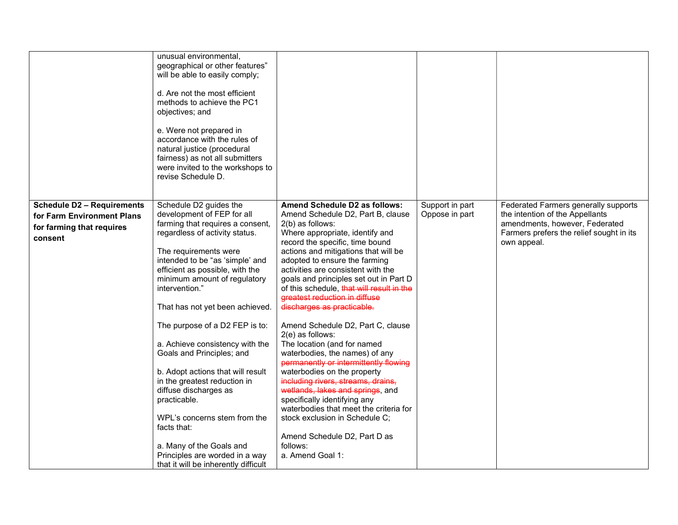|                                   | unusual environmental,<br>geographical or other features"<br>will be able to easily comply;<br>d. Are not the most efficient<br>methods to achieve the PC1<br>objectives; and<br>e. Were not prepared in<br>accordance with the rules of<br>natural justice (procedural<br>fairness) as not all submitters<br>were invited to the workshops to<br>revise Schedule D. |                                                               |                 |                                          |
|-----------------------------------|----------------------------------------------------------------------------------------------------------------------------------------------------------------------------------------------------------------------------------------------------------------------------------------------------------------------------------------------------------------------|---------------------------------------------------------------|-----------------|------------------------------------------|
| <b>Schedule D2 - Requirements</b> | Schedule D2 guides the                                                                                                                                                                                                                                                                                                                                               | Amend Schedule D2 as follows:                                 | Support in part | Federated Farmers generally supports     |
| for Farm Environment Plans        | development of FEP for all                                                                                                                                                                                                                                                                                                                                           | Amend Schedule D2, Part B, clause                             | Oppose in part  | the intention of the Appellants          |
| for farming that requires         | farming that requires a consent,                                                                                                                                                                                                                                                                                                                                     | 2(b) as follows:                                              |                 | amendments, however, Federated           |
|                                   | regardless of activity status.                                                                                                                                                                                                                                                                                                                                       | Where appropriate, identify and                               |                 | Farmers prefers the relief sought in its |
| consent                           |                                                                                                                                                                                                                                                                                                                                                                      | record the specific, time bound                               |                 | own appeal.                              |
|                                   | The requirements were                                                                                                                                                                                                                                                                                                                                                | actions and mitigations that will be                          |                 |                                          |
|                                   | intended to be "as 'simple' and                                                                                                                                                                                                                                                                                                                                      | adopted to ensure the farming                                 |                 |                                          |
|                                   | efficient as possible, with the                                                                                                                                                                                                                                                                                                                                      | activities are consistent with the                            |                 |                                          |
|                                   | minimum amount of regulatory                                                                                                                                                                                                                                                                                                                                         | goals and principles set out in Part D                        |                 |                                          |
|                                   | intervention."                                                                                                                                                                                                                                                                                                                                                       | of this schedule, that will result in the                     |                 |                                          |
|                                   |                                                                                                                                                                                                                                                                                                                                                                      | greatest reduction in diffuse                                 |                 |                                          |
|                                   | That has not yet been achieved.                                                                                                                                                                                                                                                                                                                                      | discharges as practicable.                                    |                 |                                          |
|                                   | The purpose of a D2 FEP is to:                                                                                                                                                                                                                                                                                                                                       | Amend Schedule D2, Part C, clause                             |                 |                                          |
|                                   |                                                                                                                                                                                                                                                                                                                                                                      | 2(e) as follows:                                              |                 |                                          |
|                                   | a. Achieve consistency with the<br>Goals and Principles; and                                                                                                                                                                                                                                                                                                         | The location (and for named<br>waterbodies, the names) of any |                 |                                          |
|                                   |                                                                                                                                                                                                                                                                                                                                                                      | permanently or intermittently flowing                         |                 |                                          |
|                                   | b. Adopt actions that will result                                                                                                                                                                                                                                                                                                                                    | waterbodies on the property                                   |                 |                                          |
|                                   | in the greatest reduction in                                                                                                                                                                                                                                                                                                                                         | including rivers, streams, drains,                            |                 |                                          |
|                                   | diffuse discharges as                                                                                                                                                                                                                                                                                                                                                | wetlands, lakes and springs, and                              |                 |                                          |
|                                   | practicable.                                                                                                                                                                                                                                                                                                                                                         | specifically identifying any                                  |                 |                                          |
|                                   |                                                                                                                                                                                                                                                                                                                                                                      | waterbodies that meet the criteria for                        |                 |                                          |
|                                   | WPL's concerns stem from the                                                                                                                                                                                                                                                                                                                                         | stock exclusion in Schedule C;                                |                 |                                          |
|                                   | facts that:                                                                                                                                                                                                                                                                                                                                                          |                                                               |                 |                                          |
|                                   |                                                                                                                                                                                                                                                                                                                                                                      | Amend Schedule D2, Part D as                                  |                 |                                          |
|                                   | a. Many of the Goals and                                                                                                                                                                                                                                                                                                                                             | follows:                                                      |                 |                                          |
|                                   | Principles are worded in a way                                                                                                                                                                                                                                                                                                                                       | a. Amend Goal 1:                                              |                 |                                          |
|                                   | that it will be inherently difficult                                                                                                                                                                                                                                                                                                                                 |                                                               |                 |                                          |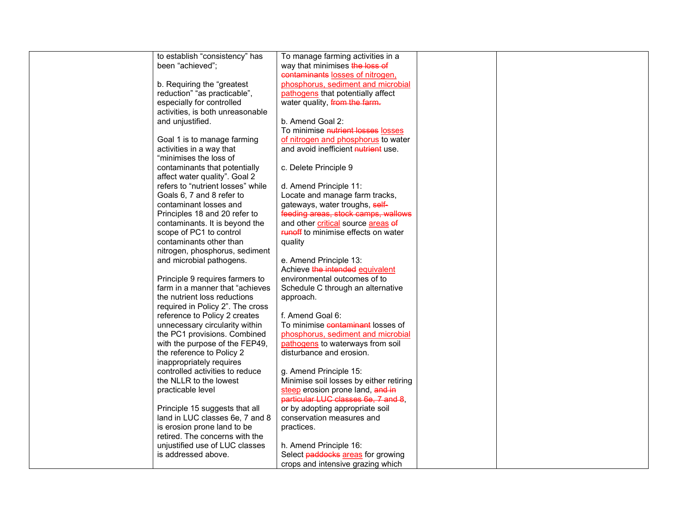| to establish "consistency" has    | To manage farming activities in a          |  |
|-----------------------------------|--------------------------------------------|--|
| been "achieved";                  | way that minimises the loss of             |  |
|                                   | contaminants losses of nitrogen,           |  |
| b. Requiring the "greatest        | phosphorus, sediment and microbial         |  |
| reduction" "as practicable",      | pathogens that potentially affect          |  |
| especially for controlled         | water quality, from the farm.              |  |
| activities, is both unreasonable  |                                            |  |
| and unjustified.                  | b. Amend Goal 2:                           |  |
|                                   | To minimise nutrient losses losses         |  |
| Goal 1 is to manage farming       | of nitrogen and phosphorus to water        |  |
| activities in a way that          | and avoid inefficient nutrient use.        |  |
| "minimises the loss of            |                                            |  |
|                                   |                                            |  |
| contaminants that potentially     | c. Delete Principle 9                      |  |
| affect water quality". Goal 2     |                                            |  |
| refers to "nutrient losses" while | d. Amend Principle 11:                     |  |
| Goals 6, 7 and 8 refer to         | Locate and manage farm tracks,             |  |
| contaminant losses and            | gateways, water troughs, self-             |  |
| Principles 18 and 20 refer to     | feeding areas, stock camps, wallows        |  |
| contaminants. It is beyond the    | and other critical source areas of         |  |
| scope of PC1 to control           | <b>FURIOR</b> to minimise effects on water |  |
| contaminants other than           | quality                                    |  |
| nitrogen, phosphorus, sediment    |                                            |  |
| and microbial pathogens.          | e. Amend Principle 13:                     |  |
|                                   | Achieve the intended equivalent            |  |
| Principle 9 requires farmers to   | environmental outcomes of to               |  |
| farm in a manner that "achieves   | Schedule C through an alternative          |  |
| the nutrient loss reductions      | approach.                                  |  |
| required in Policy 2". The cross  |                                            |  |
| reference to Policy 2 creates     | f. Amend Goal 6:                           |  |
| unnecessary circularity within    | To minimise contaminant losses of          |  |
| the PC1 provisions. Combined      | phosphorus, sediment and microbial         |  |
| with the purpose of the FEP49,    | pathogens to waterways from soil           |  |
| the reference to Policy 2         | disturbance and erosion.                   |  |
| inappropriately requires          |                                            |  |
| controlled activities to reduce   |                                            |  |
|                                   | g. Amend Principle 15:                     |  |
| the NLLR to the lowest            | Minimise soil losses by either retiring    |  |
| practicable level                 | steep erosion prone land, and in           |  |
|                                   | particular LUC classes 6e, 7 and 8,        |  |
| Principle 15 suggests that all    | or by adopting appropriate soil            |  |
| land in LUC classes 6e, 7 and 8   | conservation measures and                  |  |
| is erosion prone land to be       | practices.                                 |  |
| retired. The concerns with the    |                                            |  |
| unjustified use of LUC classes    | h. Amend Principle 16:                     |  |
| is addressed above.               | Select paddocks areas for growing          |  |
|                                   | crops and intensive grazing which          |  |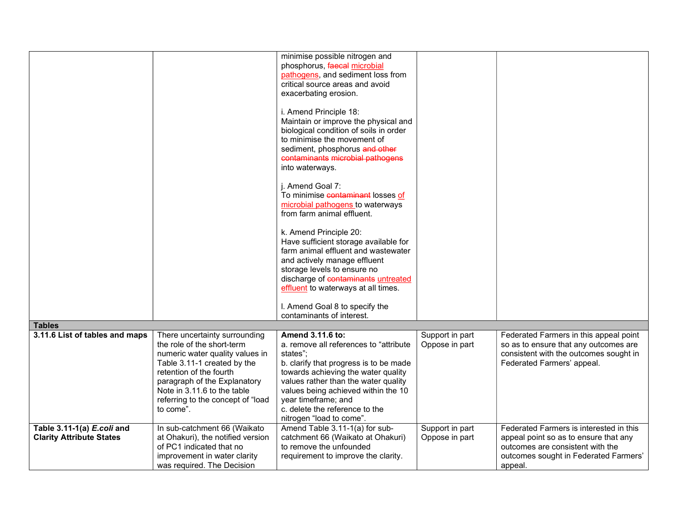|                                                               |                                                                                                                                                                                                                                                                           | minimise possible nitrogen and<br>phosphorus, faecal microbial<br>pathogens, and sediment loss from<br>critical source areas and avoid<br>exacerbating erosion.                                                                                                                                                             |                                   |                                                                                                                                                                          |
|---------------------------------------------------------------|---------------------------------------------------------------------------------------------------------------------------------------------------------------------------------------------------------------------------------------------------------------------------|-----------------------------------------------------------------------------------------------------------------------------------------------------------------------------------------------------------------------------------------------------------------------------------------------------------------------------|-----------------------------------|--------------------------------------------------------------------------------------------------------------------------------------------------------------------------|
|                                                               |                                                                                                                                                                                                                                                                           | i. Amend Principle 18:<br>Maintain or improve the physical and<br>biological condition of soils in order<br>to minimise the movement of<br>sediment, phosphorus and other<br>contaminants microbial pathogens<br>into waterways.                                                                                            |                                   |                                                                                                                                                                          |
|                                                               |                                                                                                                                                                                                                                                                           | i. Amend Goal 7:<br>To minimise contaminant losses of<br>microbial pathogens to waterways<br>from farm animal effluent.                                                                                                                                                                                                     |                                   |                                                                                                                                                                          |
|                                                               |                                                                                                                                                                                                                                                                           | k. Amend Principle 20:<br>Have sufficient storage available for<br>farm animal effluent and wastewater<br>and actively manage effluent                                                                                                                                                                                      |                                   |                                                                                                                                                                          |
|                                                               |                                                                                                                                                                                                                                                                           | storage levels to ensure no<br>discharge of contaminants untreated<br>effluent to waterways at all times.<br>I. Amend Goal 8 to specify the                                                                                                                                                                                 |                                   |                                                                                                                                                                          |
|                                                               |                                                                                                                                                                                                                                                                           | contaminants of interest.                                                                                                                                                                                                                                                                                                   |                                   |                                                                                                                                                                          |
| <b>Tables</b>                                                 |                                                                                                                                                                                                                                                                           |                                                                                                                                                                                                                                                                                                                             |                                   |                                                                                                                                                                          |
| 3.11.6 List of tables and maps                                | There uncertainty surrounding<br>the role of the short-term<br>numeric water quality values in<br>Table 3.11-1 created by the<br>retention of the fourth<br>paragraph of the Explanatory<br>Note in 3.11.6 to the table<br>referring to the concept of "load<br>to come". | Amend 3.11.6 to:<br>a. remove all references to "attribute<br>states":<br>b. clarify that progress is to be made<br>towards achieving the water quality<br>values rather than the water quality<br>values being achieved within the 10<br>year timeframe; and<br>c. delete the reference to the<br>nitrogen "load to come". | Support in part<br>Oppose in part | Federated Farmers in this appeal point<br>so as to ensure that any outcomes are<br>consistent with the outcomes sought in<br>Federated Farmers' appeal.                  |
| Table 3.11-1(a) E.coli and<br><b>Clarity Attribute States</b> | In sub-catchment 66 (Waikato<br>at Ohakuri), the notified version<br>of PC1 indicated that no<br>improvement in water clarity<br>was required. The Decision                                                                                                               | Amend Table 3.11-1(a) for sub-<br>catchment 66 (Waikato at Ohakuri)<br>to remove the unfounded<br>requirement to improve the clarity.                                                                                                                                                                                       | Support in part<br>Oppose in part | Federated Farmers is interested in this<br>appeal point so as to ensure that any<br>outcomes are consistent with the<br>outcomes sought in Federated Farmers'<br>appeal. |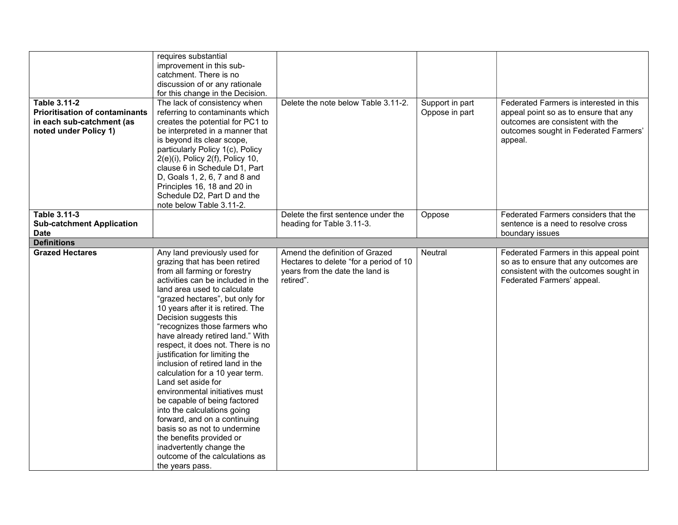| Table 3.11-2<br><b>Prioritisation of contaminants</b><br>in each sub-catchment (as<br>noted under Policy 1) | requires substantial<br>improvement in this sub-<br>catchment. There is no<br>discussion of or any rationale<br>for this change in the Decision.<br>The lack of consistency when<br>referring to contaminants which<br>creates the potential for PC1 to<br>be interpreted in a manner that<br>is beyond its clear scope,<br>particularly Policy 1(c), Policy<br>$2(e)(i)$ , Policy $2(f)$ , Policy 10,<br>clause 6 in Schedule D1, Part<br>D, Goals 1, 2, 6, 7 and 8 and<br>Principles 16, 18 and 20 in<br>Schedule D2, Part D and the<br>note below Table 3.11-2.                                                                                                                                                                                                                         | Delete the note below Table 3.11-2.                                                                                      | Support in part<br>Oppose in part | Federated Farmers is interested in this<br>appeal point so as to ensure that any<br>outcomes are consistent with the<br>outcomes sought in Federated Farmers'<br>appeal. |
|-------------------------------------------------------------------------------------------------------------|--------------------------------------------------------------------------------------------------------------------------------------------------------------------------------------------------------------------------------------------------------------------------------------------------------------------------------------------------------------------------------------------------------------------------------------------------------------------------------------------------------------------------------------------------------------------------------------------------------------------------------------------------------------------------------------------------------------------------------------------------------------------------------------------|--------------------------------------------------------------------------------------------------------------------------|-----------------------------------|--------------------------------------------------------------------------------------------------------------------------------------------------------------------------|
| Table 3.11-3<br><b>Sub-catchment Application</b><br><b>Date</b>                                             |                                                                                                                                                                                                                                                                                                                                                                                                                                                                                                                                                                                                                                                                                                                                                                                            | Delete the first sentence under the<br>heading for Table 3.11-3.                                                         | Oppose                            | Federated Farmers considers that the<br>sentence is a need to resolve cross<br>boundary issues                                                                           |
| <b>Definitions</b>                                                                                          |                                                                                                                                                                                                                                                                                                                                                                                                                                                                                                                                                                                                                                                                                                                                                                                            |                                                                                                                          |                                   |                                                                                                                                                                          |
| <b>Grazed Hectares</b>                                                                                      | Any land previously used for<br>grazing that has been retired<br>from all farming or forestry<br>activities can be included in the<br>land area used to calculate<br>"grazed hectares", but only for<br>10 years after it is retired. The<br>Decision suggests this<br>"recognizes those farmers who<br>have already retired land." With<br>respect, it does not. There is no<br>justification for limiting the<br>inclusion of retired land in the<br>calculation for a 10 year term.<br>Land set aside for<br>environmental initiatives must<br>be capable of being factored<br>into the calculations going<br>forward, and on a continuing<br>basis so as not to undermine<br>the benefits provided or<br>inadvertently change the<br>outcome of the calculations as<br>the years pass. | Amend the definition of Grazed<br>Hectares to delete "for a period of 10<br>years from the date the land is<br>retired". | Neutral                           | Federated Farmers in this appeal point<br>so as to ensure that any outcomes are<br>consistent with the outcomes sought in<br>Federated Farmers' appeal.                  |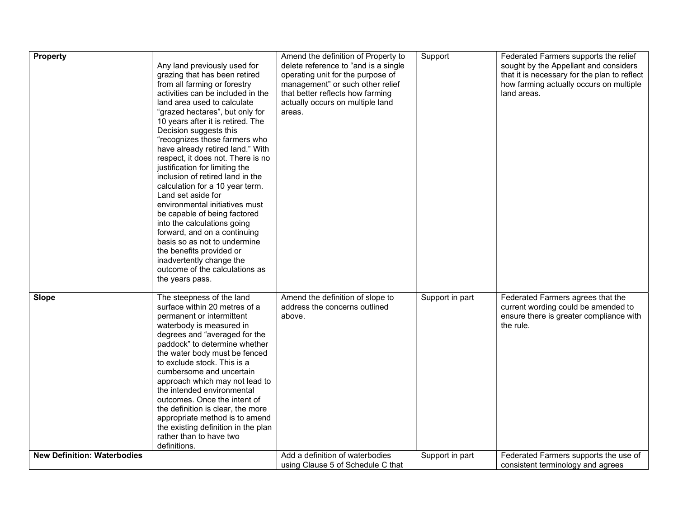| Property                           | Any land previously used for<br>grazing that has been retired<br>from all farming or forestry<br>activities can be included in the<br>land area used to calculate<br>"grazed hectares", but only for<br>10 years after it is retired. The<br>Decision suggests this<br>"recognizes those farmers who<br>have already retired land." With<br>respect, it does not. There is no<br>justification for limiting the<br>inclusion of retired land in the<br>calculation for a 10 year term.<br>Land set aside for<br>environmental initiatives must<br>be capable of being factored<br>into the calculations going<br>forward, and on a continuing<br>basis so as not to undermine<br>the benefits provided or<br>inadvertently change the<br>outcome of the calculations as<br>the years pass. | Amend the definition of Property to<br>delete reference to "and is a single<br>operating unit for the purpose of<br>management" or such other relief<br>that better reflects how farming<br>actually occurs on multiple land<br>areas. | Support         | Federated Farmers supports the relief<br>sought by the Appellant and considers<br>that it is necessary for the plan to reflect<br>how farming actually occurs on multiple<br>land areas. |
|------------------------------------|--------------------------------------------------------------------------------------------------------------------------------------------------------------------------------------------------------------------------------------------------------------------------------------------------------------------------------------------------------------------------------------------------------------------------------------------------------------------------------------------------------------------------------------------------------------------------------------------------------------------------------------------------------------------------------------------------------------------------------------------------------------------------------------------|----------------------------------------------------------------------------------------------------------------------------------------------------------------------------------------------------------------------------------------|-----------------|------------------------------------------------------------------------------------------------------------------------------------------------------------------------------------------|
| <b>Slope</b>                       | The steepness of the land<br>surface within 20 metres of a<br>permanent or intermittent<br>waterbody is measured in<br>degrees and "averaged for the<br>paddock" to determine whether<br>the water body must be fenced<br>to exclude stock. This is a<br>cumbersome and uncertain<br>approach which may not lead to<br>the intended environmental<br>outcomes. Once the intent of<br>the definition is clear, the more<br>appropriate method is to amend<br>the existing definition in the plan<br>rather than to have two<br>definitions.                                                                                                                                                                                                                                                 | Amend the definition of slope to<br>address the concerns outlined<br>above.                                                                                                                                                            | Support in part | Federated Farmers agrees that the<br>current wording could be amended to<br>ensure there is greater compliance with<br>the rule.                                                         |
| <b>New Definition: Waterbodies</b> |                                                                                                                                                                                                                                                                                                                                                                                                                                                                                                                                                                                                                                                                                                                                                                                            | Add a definition of waterbodies<br>using Clause 5 of Schedule C that                                                                                                                                                                   | Support in part | Federated Farmers supports the use of<br>consistent terminology and agrees                                                                                                               |